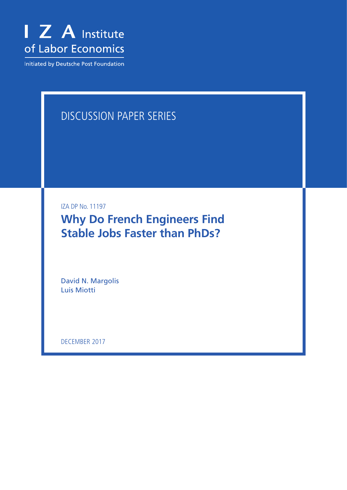

Initiated by Deutsche Post Foundation

# DISCUSSION PAPER SERIES

IZA DP No. 11197

**Why Do French Engineers Find Stable Jobs Faster than PhDs?**

David N. Margolis Luis Miotti

DECEMBER 2017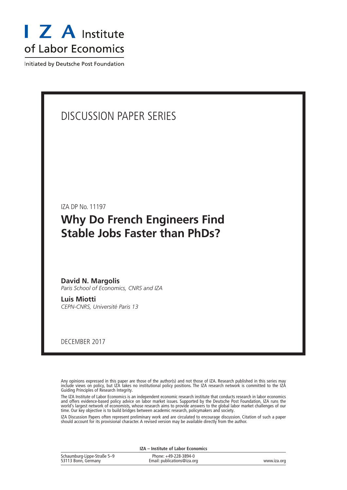

Initiated by Deutsche Post Foundation

## DISCUSSION PAPER SERIES

IZA DP No. 11197

# **Why Do French Engineers Find Stable Jobs Faster than PhDs?**

**David N. Margolis** *Paris School of Economics, CNRS and IZA*

**Luis Miotti** *CEPN-CNRS, Université Paris 13*

DECEMBER 2017

Any opinions expressed in this paper are those of the author(s) and not those of IZA. Research published in this series may include views on policy, but IZA takes no institutional policy positions. The IZA research network is committed to the IZA Guiding Principles of Research Integrity.

The IZA Institute of Labor Economics is an independent economic research institute that conducts research in labor economics and offers evidence-based policy advice on labor market issues. Supported by the Deutsche Post Foundation, IZA runs the world's largest network of economists, whose research aims to provide answers to the global labor market challenges of our time. Our key objective is to build bridges between academic research, policymakers and society.

IZA Discussion Papers often represent preliminary work and are circulated to encourage discussion. Citation of such a paper should account for its provisional character. A revised version may be available directly from the author.

| <b>IZA</b> – Institute of Labor Economics          |                                                      |             |  |  |  |
|----------------------------------------------------|------------------------------------------------------|-------------|--|--|--|
| Schaumburg-Lippe-Straße 5-9<br>53113 Bonn, Germany | Phone: +49-228-3894-0<br>Email: publications@iza.org | www.iza.org |  |  |  |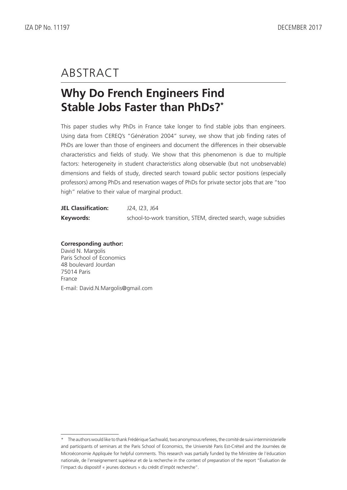# ABSTRACT

# **Why Do French Engineers Find Stable Jobs Faster than PhDs?\***

This paper studies why PhDs in France take longer to find stable jobs than engineers. Using data from CEREQ's "Génération 2004" survey, we show that job finding rates of PhDs are lower than those of engineers and document the differences in their observable characteristics and fields of study. We show that this phenomenon is due to multiple factors: heterogeneity in student characteristics along observable (but not unobservable) dimensions and fields of study, directed search toward public sector positions (especially professors) among PhDs and reservation wages of PhDs for private sector jobs that are "too high" relative to their value of marginal product.

| <b>JEL Classification:</b> | J24, I23, J64                                                    |
|----------------------------|------------------------------------------------------------------|
| Keywords:                  | school-to-work transition, STEM, directed search, wage subsidies |

**Corresponding author:** David N. Margolis Paris School of Economics 48 boulevard Jourdan 75014 Paris

France

E-mail: David.N.Margolis@gmail.com

<sup>\*</sup> The authors would like to thank Frédérique Sachwald, two anonymous referees, the comité de suivi interministerielle and participants of seminars at the Paris School of Economics, the Université Paris Est-Créteil and the Journées de Microéconomie Appliquée for helpful comments. This research was partially funded by the Ministère de l'éducation nationale, de l'enseignement supérieur et de la recherche in the context of preparation of the report "Évaluation de l'impact du dispositif « jeunes docteurs » du crédit d'impôt recherche".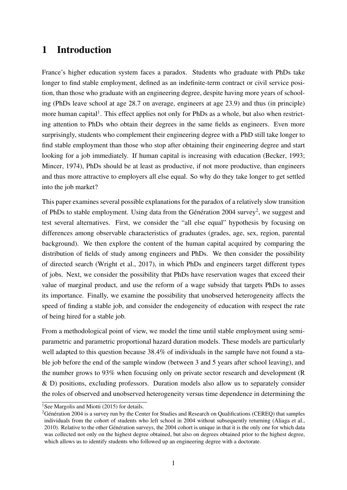## 1 Introduction

France's higher education system faces a paradox. Students who graduate with PhDs take longer to find stable employment, defined as an indefinite-term contract or civil service position, than those who graduate with an engineering degree, despite having more years of schooling (PhDs leave school at age 28.7 on average, engineers at age 23.9) and thus (in principle) more human capital<sup>[1](#page--1-0)</sup>. This effect applies not only for PhDs as a whole, but also when restricting attention to PhDs who obtain their degrees in the same fields as engineers. Even more surprisingly, students who complement their engineering degree with a PhD still take longer to find stable employment than those who stop after obtaining their engineering degree and start looking for a job immediately. If human capital is increasing with education [\(Becker,](#page-32-0) [1993;](#page-32-0) [Mincer,](#page-33-0) [1974\)](#page-33-0), PhDs should be at least as productive, if not more productive, than engineers and thus more attractive to employers all else equal. So why do they take longer to get settled into the job market?

This paper examines several possible explanations for the paradox of a relatively slow transition of PhDs to stable employment. Using data from the Génération [2](#page--1-0)004 survey<sup>2</sup>, we suggest and test several alternatives. First, we consider the "all else equal" hypothesis by focusing on differences among observable characteristics of graduates (grades, age, sex, region, parental background). We then explore the content of the human capital acquired by comparing the distribution of fields of study among engineers and PhDs. We then consider the possibility of directed search [\(Wright et al.,](#page-33-1) [2017\)](#page-33-1), in which PhDs and engineers target different types of jobs. Next, we consider the possibility that PhDs have reservation wages that exceed their value of marginal product, and use the reform of a wage subsidy that targets PhDs to asses its importance. Finally, we examine the possibility that unobserved heterogeneity affects the speed of finding a stable job, and consider the endogeneity of education with respect the rate of being hired for a stable job.

From a methodological point of view, we model the time until stable employment using semiparametric and parametric proportional hazard duration models. These models are particularly well adapted to this question because 38.4% of individuals in the sample have not found a stable job before the end of the sample window (between 3 and 5 years after school leaving), and the number grows to 93% when focusing only on private sector research and development (R & D) positions, excluding professors. Duration models also allow us to separately consider the roles of observed and unobserved heterogeneity versus time dependence in determining the

<sup>&</sup>lt;sup>1</sup>See [Margolis and Miotti](#page-32-1) [\(2015\)](#page-32-1) for details.

<sup>2</sup>Génération 2004 is a survey run by the Center for Studies and Research on Qualifications (CEREQ) that samples individuals from the cohort of students who left school in 2004 without subsequently returning [\(Aliaga et al.,](#page-32-2) [2010\)](#page-32-2). Relative to the other Génération surveys, the 2004 cohort is unique in that it is the only one for which data was collected not only on the highest degree obtained, but also on degrees obtained prior to the highest degree, which allows us to identify students who followed up an engineering degree with a doctorate.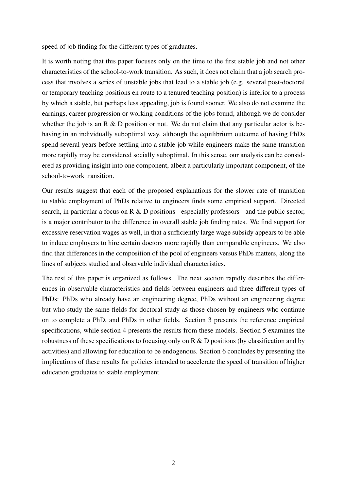speed of job finding for the different types of graduates.

It is worth noting that this paper focuses only on the time to the first stable job and not other characteristics of the school-to-work transition. As such, it does not claim that a job search process that involves a series of unstable jobs that lead to a stable job (e.g. several post-doctoral or temporary teaching positions en route to a tenured teaching position) is inferior to a process by which a stable, but perhaps less appealing, job is found sooner. We also do not examine the earnings, career progression or working conditions of the jobs found, although we do consider whether the job is an R  $\&$  D position or not. We do not claim that any particular actor is behaving in an individually suboptimal way, although the equilibrium outcome of having PhDs spend several years before settling into a stable job while engineers make the same transition more rapidly may be considered socially suboptimal. In this sense, our analysis can be considered as providing insight into one component, albeit a particularly important component, of the school-to-work transition.

Our results suggest that each of the proposed explanations for the slower rate of transition to stable employment of PhDs relative to engineers finds some empirical support. Directed search, in particular a focus on R & D positions - especially professors - and the public sector, is a major contributor to the difference in overall stable job finding rates. We find support for excessive reservation wages as well, in that a sufficiently large wage subsidy appears to be able to induce employers to hire certain doctors more rapidly than comparable engineers. We also find that differences in the composition of the pool of engineers versus PhDs matters, along the lines of subjects studied and observable individual characteristics.

The rest of this paper is organized as follows. The next section rapidly describes the differences in observable characteristics and fields between engineers and three different types of PhDs: PhDs who already have an engineering degree, PhDs without an engineering degree but who study the same fields for doctoral study as those chosen by engineers who continue on to complete a PhD, and PhDs in other fields. Section [3](#page-12-0) presents the reference empirical specifications, while section [4](#page-15-0) presents the results from these models. Section [5](#page-20-0) examines the robustness of these specifications to focusing only on R & D positions (by classification and by activities) and allowing for education to be endogenous. Section [6](#page-30-0) concludes by presenting the implications of these results for policies intended to accelerate the speed of transition of higher education graduates to stable employment.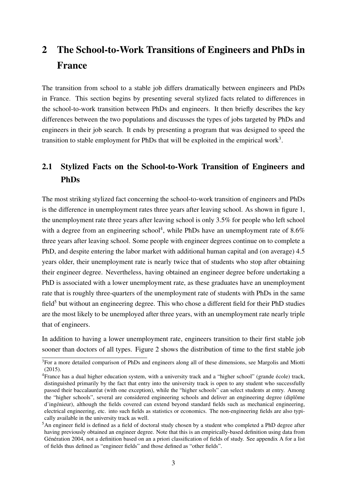# 2 The School-to-Work Transitions of Engineers and PhDs in France

The transition from school to a stable job differs dramatically between engineers and PhDs in France. This section begins by presenting several stylized facts related to differences in the school-to-work transition between PhDs and engineers. It then briefly describes the key differences between the two populations and discusses the types of jobs targeted by PhDs and engineers in their job search. It ends by presenting a program that was designed to speed the transition to stable employment for PhDs that will be exploited in the empirical work<sup>[3](#page--1-0)</sup>.

### 2.1 Stylized Facts on the School-to-Work Transition of Engineers and PhDs

The most striking stylized fact concerning the school-to-work transition of engineers and PhDs is the difference in unemployment rates three years after leaving school. As shown in figure [1,](#page-6-0) the unemployment rate three years after leaving school is only 3.5% for people who left school with a degree from an engineering school<sup>[4](#page--1-0)</sup>, while PhDs have an unemployment rate of  $8.6\%$ three years after leaving school. Some people with engineer degrees continue on to complete a PhD, and despite entering the labor market with additional human capital and (on average) 4.5 years older, their unemployment rate is nearly twice that of students who stop after obtaining their engineer degree. Nevertheless, having obtained an engineer degree before undertaking a PhD is associated with a lower unemployment rate, as these graduates have an unemployment rate that is roughly three-quarters of the unemployment rate of students with PhDs in the same  $field<sup>5</sup>$  $field<sup>5</sup>$  $field<sup>5</sup>$  but without an engineering degree. This who chose a different field for their PhD studies are the most likely to be unemployed after three years, with an unemployment rate nearly triple that of engineers.

In addition to having a lower unemployment rate, engineers transition to their first stable job sooner than doctors of all types. Figure [2](#page-8-0) shows the distribution of time to the first stable job

<sup>&</sup>lt;sup>3</sup>For a more detailed comparison of PhDs and engineers along all of these dimensions, see [Margolis and Miotti](#page-32-1) [\(2015\)](#page-32-1).

<sup>4</sup>France has a dual higher education system, with a university track and a "higher school" (grande école) track, distinguished primarily by the fact that entry into the university track is open to any student who successfully passed their baccalauréat (with one exception), while the "higher schools" can select students at entry. Among the "higher schools", several are considered engineering schools and deliver an engineering degree (diplôme d'ingénieur), although the fields covered can extend beyond standard fields such as mechanical engineering, electrical engineering, etc. into such fields as statistics or economics. The non-engineering fields are also typically available in the university track as well.

<sup>5</sup>An engineer field is defined as a field of doctoral study chosen by a student who completed a PhD degree after having previously obtained an engineer degree. Note that this is an empirically-based definition using data from Génération 2004, not a definition based on an a priori classification of fields of study. See appendix [A](#page-34-0) for a list of fields thus defined as "engineer fields" and those defined as "other fields".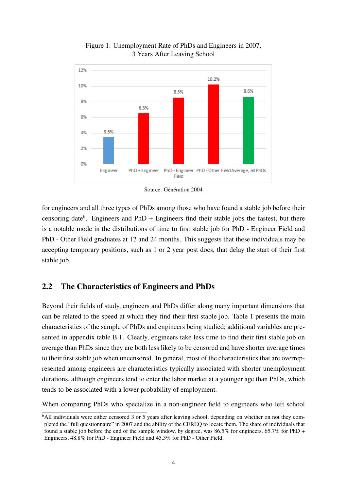<span id="page-6-0"></span>

Figure 1: Unemployment Rate of PhDs and Engineers in 2007, 3 Years After Leaving School

Source: Génération 2004

for engineers and all three types of PhDs among those who have found a stable job before their censoring date<sup>[6](#page--1-0)</sup>. Engineers and PhD + Engineers find their stable jobs the fastest, but there is a notable mode in the distributions of time to first stable job for PhD - Engineer Field and PhD - Other Field graduates at 12 and 24 months. This suggests that these individuals may be accepting temporary positions, such as 1 or 2 year post docs, that delay the start of their first stable job.

#### 2.2 The Characteristics of Engineers and PhDs

Beyond their fields of study, engineers and PhDs differ along many important dimensions that can be related to the speed at which they find their first stable job. Table [1](#page-7-0) presents the main characteristics of the sample of PhDs and engineers being studied; additional variables are presented in appendix table [B.1.](#page-36-0) Clearly, engineers take less time to find their first stable job on average than PhDs since they are both less likely to be censored and have shorter average times to their first stable job when uncensored. In general, most of the characteristics that are overrepresented among engineers are characteristics typically associated with shorter unemployment durations, although engineers tend to enter the labor market at a younger age than PhDs, which tends to be associated with a lower probability of employment.

When comparing PhDs who specialize in a non-engineer field to engineers who left school

<sup>&</sup>lt;sup>6</sup>All individuals were either censored 3 or 5 years after leaving school, depending on whether on not they completed the "full questionnaire" in 2007 and the ability of the CEREQ to locate them. The share of individuals that found a stable job before the end of the sample window, by degree, was 86.5% for engineers, 65.7% for PhD + Engineers, 48.8% for PhD - Engineer Field and 45.3% for PhD - Other Field.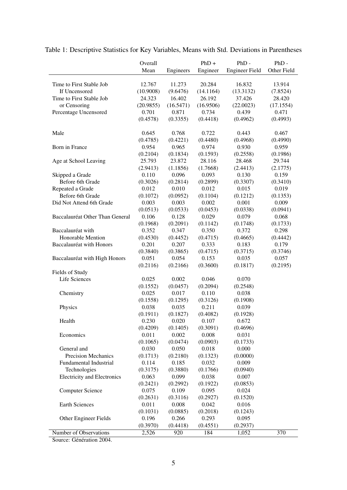|                                    | Overall   |           | $PhD +$   | $PhD -$               | $PhD -$     |
|------------------------------------|-----------|-----------|-----------|-----------------------|-------------|
|                                    | Mean      | Engineers | Engineer  | <b>Engineer Field</b> | Other Field |
|                                    |           |           |           |                       |             |
| Time to First Stable Job           | 12.767    | 11.273    | 20.284    | 16.832                | 13.914      |
| If Uncensored                      | (10.9008) | (9.6476)  | (14.1164) | (13.3132)             | (7.8524)    |
| Time to First Stable Job           | 24.323    | 16.402    | 26.192    | 37.426                | 28.420      |
| or Censoring                       | (20.9855) | (16.5471) | (16.9506) | (22.0023)             | (17.1554)   |
| Percentage Uncensored              | 0.701     | 0.871     | 0.734     | 0.439                 | 0.471       |
|                                    | (0.4578)  | (0.3355)  | (0.4418)  | (0.4962)              | (0.4993)    |
| Male                               | 0.645     | 0.768     | 0.722     | 0.443                 | 0.467       |
|                                    | (0.4785)  | (0.4221)  | (0.4480)  | (0.4968)              | (0.4990)    |
| Born in France                     | 0.954     | 0.965     | 0.974     | 0.930                 | 0.959       |
|                                    | (0.2104)  | (0.1834)  | (0.1593)  | (0.2558)              | (0.1986)    |
| Age at School Leaving              | 25.793    | 23.872    | 28.116    | 28.468                | 29.744      |
|                                    | (2.9413)  | (1.1856)  | (1.7668)  | (2.4413)              | (2.1775)    |
| Skipped a Grade                    | 0.110     | 0.096     | 0.093     | 0.130                 | 0.159       |
| Before 6th Grade                   | (0.3026)  | (0.2814)  | (0.2899)  | (0.3307)              | (0.3410)    |
| Repeated a Grade                   | 0.012     | 0.010     | 0.012     | 0.015                 | 0.019       |
| Before 6th Grade                   | (0.1072)  | (0.0952)  | (0.1104)  | (0.1212)              | (0.1353)    |
| Did Not Attend 6th Grade           | 0.003     | 0.003     | 0.002     | 0.001                 | 0.009       |
|                                    | (0.0513)  | (0.0533)  | (0.0453)  | (0.0338)              | (0.0941)    |
| Baccalauréat Other Than General    | 0.106     | 0.128     | 0.029     | 0.079                 | 0.068       |
|                                    | (0.1968)  | (0.2091)  | (0.1142)  | (0.1748)              | (0.1733)    |
| Baccalauréat with                  | 0.352     | 0.347     | 0.350     | 0.372                 | 0.298       |
| Honorable Mention                  | (0.4530)  | (0.4452)  | (0.4715)  | (0.4665)              | (0.4442)    |
| Baccalauréat with Honors           | 0.201     | 0.207     | 0.333     | 0.183                 | 0.179       |
|                                    | (0.3840)  | (0.3865)  | (0.4715)  | (0.3715)              | (0.3746)    |
| Baccalauréat with High Honors      | 0.051     | 0.054     | 0.153     | 0.035                 | 0.057       |
|                                    | (0.2116)  | (0.2166)  | (0.3600)  | (0.1817)              | (0.2195)    |
| Fields of Study                    |           |           |           |                       |             |
| Life Sciences                      | 0.025     | 0.002     | 0.046     | 0.070                 |             |
|                                    | (0.1552)  | (0.0457)  | (0.2094)  | (0.2548)              |             |
| Chemistry                          | 0.025     | 0.017     | 0.110     | 0.038                 |             |
|                                    | (0.1558)  | (0.1295)  | (0.3126)  | (0.1908)              |             |
| Physics                            | 0.038     | 0.035     | 0.211     | 0.039                 |             |
|                                    | (0.1911)  | (0.1827)  | (0.4082)  | (0.1928)              |             |
| Health                             | 0.230     | 0.020     | 0.107     | 0.672                 |             |
|                                    | (0.4209)  | (0.1405)  | (0.3091)  | (0.4696)              |             |
| Economics                          | 0.011     | 0.002     | 0.008     | 0.031                 |             |
|                                    | (0.1065)  | (0.0474)  | (0.0903)  | (0.1733)              |             |
| General and                        | 0.030     | 0.050     | 0.018     | 0.000                 |             |
| Precision Mechanics                | (0.1713)  | (0.2180)  | (0.1323)  | (0.0000)              |             |
| <b>Fundamental Industrial</b>      | 0.114     | 0.185     | 0.032     | 0.009                 |             |
| Technologies                       | (0.3175)  | (0.3880)  | (0.1766)  | (0.0940)              |             |
| <b>Electricity and Electronics</b> | 0.063     | 0.099     | 0.038     | 0.007                 |             |
|                                    | (0.2421)  | (0.2992)  | (0.1922)  | (0.0853)              |             |
| <b>Computer Science</b>            | 0.075     | 0.109     | 0.095     | 0.024                 |             |
|                                    | (0.2631)  | (0.3116)  | (0.2927)  | (0.1520)              |             |
| Earth Sciences                     | 0.011     | 0.008     | 0.042     | 0.016                 |             |
|                                    | (0.1031)  | (0.0885)  | (0.2018)  | (0.1243)              |             |
| Other Engineer Fields              | 0.196     | 0.266     | 0.293     | 0.095                 |             |
|                                    | (0.3970)  | (0.4418)  | (0.4551)  | (0.2937)              |             |
| Number of Observations             | 2,526     | 920       | 184       | 1,052                 | 370         |

<span id="page-7-0"></span>Table 1: Descriptive Statistics for Key Variables, Means with Std. Deviations in Parentheses

Source: Génération 2004.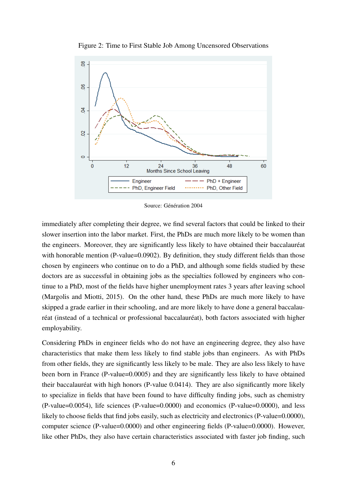<span id="page-8-0"></span>

Figure 2: Time to First Stable Job Among Uncensored Observations

Source: Génération 2004

immediately after completing their degree, we find several factors that could be linked to their slower insertion into the labor market. First, the PhDs are much more likely to be women than the engineers. Moreover, they are significantly less likely to have obtained their baccalauréat with honorable mention (P-value=0.0902). By definition, they study different fields than those chosen by engineers who continue on to do a PhD, and although some fields studied by these doctors are as successful in obtaining jobs as the specialties followed by engineers who continue to a PhD, most of the fields have higher unemployment rates 3 years after leaving school [\(Margolis and Miotti,](#page-32-1) [2015\)](#page-32-1). On the other hand, these PhDs are much more likely to have skipped a grade earlier in their schooling, and are more likely to have done a general baccalauréat (instead of a technical or professional baccalauréat), both factors associated with higher employability.

Considering PhDs in engineer fields who do not have an engineering degree, they also have characteristics that make them less likely to find stable jobs than engineers. As with PhDs from other fields, they are significantly less likely to be male. They are also less likely to have been born in France (P-value=0.0005) and they are significantly less likely to have obtained their baccalauréat with high honors (P-value 0.0414). They are also significantly more likely to specialize in fields that have been found to have difficulty finding jobs, such as chemistry (P-value=0.0054), life sciences (P-value=0.0000) and economics (P-value=0.0000), and less likely to choose fields that find jobs easily, such as electricity and electronics (P-value=0.0000), computer science (P-value=0.0000) and other engineering fields (P-value=0.0000). However, like other PhDs, they also have certain characteristics associated with faster job finding, such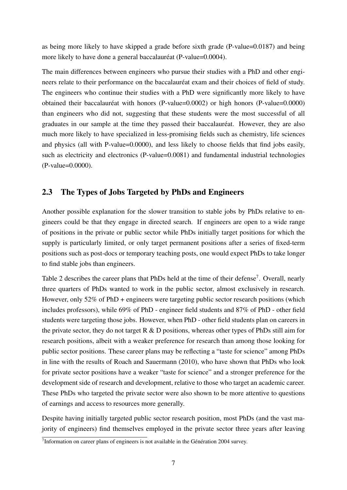as being more likely to have skipped a grade before sixth grade (P-value=0.0187) and being more likely to have done a general baccalauréat (P-value=0.0004).

The main differences between engineers who pursue their studies with a PhD and other engineers relate to their performance on the baccalauréat exam and their choices of field of study. The engineers who continue their studies with a PhD were significantly more likely to have obtained their baccalauréat with honors (P-value=0.0002) or high honors (P-value=0.0000) than engineers who did not, suggesting that these students were the most successful of all graduates in our sample at the time they passed their baccalauréat. However, they are also much more likely to have specialized in less-promising fields such as chemistry, life sciences and physics (all with P-value=0.0000), and less likely to choose fields that find jobs easily, such as electricity and electronics (P-value=0.0081) and fundamental industrial technologies (P-value=0.0000).

#### <span id="page-9-0"></span>2.3 The Types of Jobs Targeted by PhDs and Engineers

Another possible explanation for the slower transition to stable jobs by PhDs relative to engineers could be that they engage in directed search. If engineers are open to a wide range of positions in the private or public sector while PhDs initially target positions for which the supply is particularly limited, or only target permanent positions after a series of fixed-term positions such as post-docs or temporary teaching posts, one would expect PhDs to take longer to find stable jobs than engineers.

Table [2](#page-10-0) describes the career plans that PhDs held at the time of their defense<sup>[7](#page--1-0)</sup>. Overall, nearly three quarters of PhDs wanted to work in the public sector, almost exclusively in research. However, only 52% of PhD + engineers were targeting public sector research positions (which includes professors), while 69% of PhD - engineer field students and 87% of PhD - other field students were targeting those jobs. However, when PhD - other field students plan on careers in the private sector, they do not target  $R \& D$  positions, whereas other types of PhDs still aim for research positions, albeit with a weaker preference for research than among those looking for public sector positions. These career plans may be reflecting a "taste for science" among PhDs in line with the results of [Roach and Sauermann](#page-33-2) [\(2010\)](#page-33-2), who have shown that PhDs who look for private sector positions have a weaker "taste for science" and a stronger preference for the development side of research and development, relative to those who target an academic career. These PhDs who targeted the private sector were also shown to be more attentive to questions of earnings and access to resources more generally.

Despite having initially targeted public sector research position, most PhDs (and the vast majority of engineers) find themselves employed in the private sector three years after leaving

<sup>&</sup>lt;sup>7</sup>Information on career plans of engineers is not available in the Génération 2004 survey.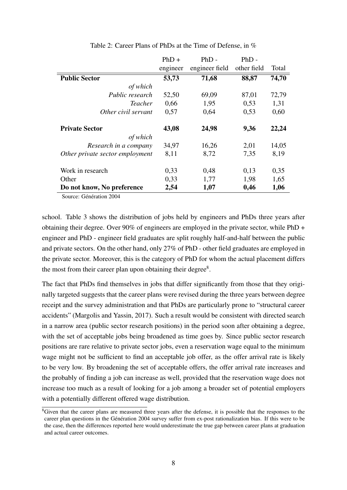<span id="page-10-0"></span>

|                                 | $PhD +$  | $PhD -$        | $PhD -$     |       |
|---------------------------------|----------|----------------|-------------|-------|
|                                 | engineer | engineer field | other field | Total |
| <b>Public Sector</b>            | 53,73    | 71,68          | 88,87       | 74,70 |
| of which                        |          |                |             |       |
| Public research                 | 52,50    | 69,09          | 87,01       | 72,79 |
| Teacher                         | 0,66     | 1,95           | 0,53        | 1,31  |
| Other civil servant             | 0,57     | 0,64           | 0,53        | 0,60  |
| <b>Private Sector</b>           | 43,08    | 24,98          | 9,36        | 22,24 |
| of which                        |          |                |             |       |
| Research in a company           | 34,97    | 16,26          | 2,01        | 14,05 |
| Other private sector employment | 8,11     | 8,72           | 7,35        | 8,19  |
| Work in research                | 0,33     | 0,48           | 0,13        | 0,35  |
| Other                           | 0,33     | 1,77           | 1,98        | 1,65  |
| Do not know, No preference      | 2,54     | 1,07           | 0,46        | 1,06  |

Table 2: Career Plans of PhDs at the Time of Defense, in %

Source: Génération 2004

school. Table [3](#page-11-0) shows the distribution of jobs held by engineers and PhDs three years after obtaining their degree. Over 90% of engineers are employed in the private sector, while PhD + engineer and PhD - engineer field graduates are split roughly half-and-half between the public and private sectors. On the other hand, only 27% of PhD - other field graduates are employed in the private sector. Moreover, this is the category of PhD for whom the actual placement differs the most from their career plan upon obtaining their degree<sup>[8](#page--1-0)</sup>.

The fact that PhDs find themselves in jobs that differ significantly from those that they originally targeted suggests that the career plans were revised during the three years between degree receipt and the survey administration and that PhDs are particularly prone to "structural career accidents" [\(Margolis and Yassin,](#page-33-3) [2017\)](#page-33-3). Such a result would be consistent with directed search in a narrow area (public sector research positions) in the period soon after obtaining a degree, with the set of acceptable jobs being broadened as time goes by. Since public sector research positions are rare relative to private sector jobs, even a reservation wage equal to the minimum wage might not be sufficient to find an acceptable job offer, as the offer arrival rate is likely to be very low. By broadening the set of acceptable offers, the offer arrival rate increases and the probably of finding a job can increase as well, provided that the reservation wage does not increase too much as a result of looking for a job among a broader set of potential employers with a potentially different offered wage distribution.

<sup>&</sup>lt;sup>8</sup>Given that the career plans are measured three years after the defense, it is possible that the responses to the career plan questions in the Génération 2004 survey suffer from ex-post rationalization bias. If this were to be the case, then the differences reported here would underestimate the true gap between career plans at graduation and actual career outcomes.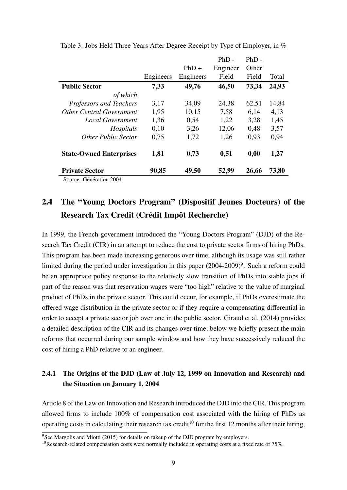|                                 |           |           | $PhD -$  | $PhD -$ |       |
|---------------------------------|-----------|-----------|----------|---------|-------|
|                                 |           | $PhD +$   | Engineer | Other   |       |
|                                 | Engineers | Engineers | Field    | Field   | Total |
| <b>Public Sector</b>            | 7,33      | 49,76     | 46,50    | 73,34   | 24,93 |
| of which                        |           |           |          |         |       |
| Professors and Teachers         | 3,17      | 34,09     | 24,38    | 62,51   | 14,84 |
| <b>Other Central Government</b> | 1,95      | 10,15     | 7,58     | 6,14    | 4,13  |
| <b>Local Government</b>         | 1,36      | 0,54      | 1,22     | 3,28    | 1,45  |
| Hospitals                       | 0.10      | 3,26      | 12,06    | 0,48    | 3,57  |
| <b>Other Public Sector</b>      | 0,75      | 1,72      | 1,26     | 0,93    | 0,94  |
| <b>State-Owned Enterprises</b>  | 1,81      | 0,73      | 0,51     | 0,00    | 1,27  |
| <b>Private Sector</b>           | 90,85     | 49,50     | 52,99    | 26,66   | 73,80 |
|                                 |           |           |          |         |       |

<span id="page-11-0"></span>Table 3: Jobs Held Three Years After Degree Receipt by Type of Employer, in %

Source: Génération 2004

## 2.4 The "Young Doctors Program" (Dispositif Jeunes Docteurs) of the Research Tax Credit (Crédit Impôt Recherche)

In 1999, the French government introduced the "Young Doctors Program" (DJD) of the Research Tax Credit (CIR) in an attempt to reduce the cost to private sector firms of hiring PhDs. This program has been made increasing generous over time, although its usage was still rather limited during the period under investigation in this paper (2004-200[9](#page--1-0))<sup>9</sup>. Such a reform could be an appropriate policy response to the relatively slow transition of PhDs into stable jobs if part of the reason was that reservation wages were "too high" relative to the value of marginal product of PhDs in the private sector. This could occur, for example, if PhDs overestimate the offered wage distribution in the private sector or if they require a compensating differential in order to accept a private sector job over one in the public sector. [Giraud et al.](#page-32-3) [\(2014\)](#page-32-3) provides a detailed description of the CIR and its changes over time; below we briefly present the main reforms that occurred during our sample window and how they have successively reduced the cost of hiring a PhD relative to an engineer.

#### 2.4.1 The Origins of the DJD (Law of July 12, 1999 on Innovation and Research) and the Situation on January 1, 2004

Article 8 of the Law on Innovation and Research introduced the DJD into the CIR. This program allowed firms to include 100% of compensation cost associated with the hiring of PhDs as operating costs in calculating their research tax credit<sup>[10](#page--1-0)</sup> for the first 12 months after their hiring,

 $9$ See [Margolis and Miotti](#page-32-1) [\(2015\)](#page-32-1) for details on takeup of the DJD program by employers.

<sup>&</sup>lt;sup>10</sup>Research-related compensation costs were normally included in operating costs at a fixed rate of 75%.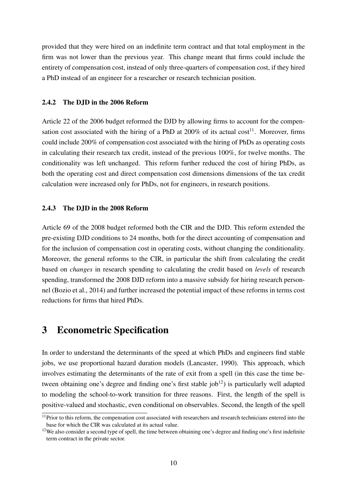provided that they were hired on an indefinite term contract and that total employment in the firm was not lower than the previous year. This change meant that firms could include the entirety of compensation cost, instead of only three-quarters of compensation cost, if they hired a PhD instead of an engineer for a researcher or research technician position.

#### 2.4.2 The DJD in the 2006 Reform

Article 22 of the 2006 budget reformed the DJD by allowing firms to account for the compensation cost associated with the hiring of a PhD at  $200\%$  of its actual cost<sup>[11](#page--1-0)</sup>. Moreover, firms could include 200% of compensation cost associated with the hiring of PhDs as operating costs in calculating their research tax credit, instead of the previous 100%, for twelve months. The conditionality was left unchanged. This reform further reduced the cost of hiring PhDs, as both the operating cost and direct compensation cost dimensions dimensions of the tax credit calculation were increased only for PhDs, not for engineers, in research positions.

#### 2.4.3 The DJD in the 2008 Reform

Article 69 of the 2008 budget reformed both the CIR and the DJD. This reform extended the pre-existing DJD conditions to 24 months, both for the direct accounting of compensation and for the inclusion of compensation cost in operating costs, without changing the conditionality. Moreover, the general reforms to the CIR, in particular the shift from calculating the credit based on *changes* in research spending to calculating the credit based on *levels* of research spending, transformed the 2008 DJD reform into a massive subsidy for hiring research personnel [\(Bozio et al.,](#page-32-4) [2014\)](#page-32-4) and further increased the potential impact of these reforms in terms cost reductions for firms that hired PhDs.

### <span id="page-12-0"></span>3 Econometric Specification

In order to understand the determinants of the speed at which PhDs and engineers find stable jobs, we use proportional hazard duration models [\(Lancaster,](#page-32-5) [1990\)](#page-32-5). This approach, which involves estimating the determinants of the rate of exit from a spell (in this case the time between obtaining one's degree and finding one's first stable  $job<sup>12</sup>$  $job<sup>12</sup>$  $job<sup>12</sup>$ ) is particularly well adapted to modeling the school-to-work transition for three reasons. First, the length of the spell is positive-valued and stochastic, even conditional on observables. Second, the length of the spell

<sup>&</sup>lt;sup>11</sup>Prior to this reform, the compensation cost associated with researchers and research technicians entered into the base for which the CIR was calculated at its actual value.

<sup>&</sup>lt;sup>12</sup>We also consider a second type of spell, the time between obtaining one's degree and finding one's first indefinite term contract in the private sector.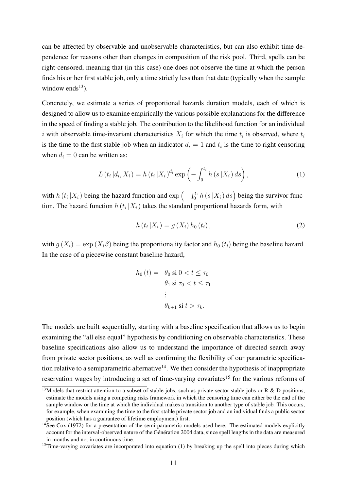can be affected by observable and unobservable characteristics, but can also exhibit time dependence for reasons other than changes in composition of the risk pool. Third, spells can be right-censored, meaning that (in this case) one does not observe the time at which the person finds his or her first stable job, only a time strictly less than that date (typically when the sample window ends<sup>[13](#page--1-0)</sup>).

Concretely, we estimate a series of proportional hazards duration models, each of which is designed to allow us to examine empirically the various possible explanations for the difference in the speed of finding a stable job. The contribution to the likelihood function for an individual *i* with observable time-invariant characteristics  $X_i$  for which the time  $t_i$  is observed, where  $t_i$ is the time to the first stable job when an indicator  $d_i = 1$  and  $t_i$  is the time to right censoring when  $d_i = 0$  can be written as:

$$
L(t_i|d_i, X_i) = h(t_i|X_i)^{d_i} \exp\left(-\int_0^{t_i} h(s|X_i) ds\right),
$$
 (1)

with  $h(t_i|X_i)$  being the hazard function and  $\exp(-\int_0^{t_i} h(s|X_i) ds)$  being the survivor function. The hazard function  $h(t_i|X_i)$  takes the standard proportional hazards form, with

<span id="page-13-1"></span><span id="page-13-0"></span>
$$
h(t_i|X_i) = g(X_i) h_0(t_i), \qquad (2)
$$

with  $g(X_i) = \exp(X_i \beta)$  being the proportionality factor and  $h_0(t_i)$  being the baseline hazard. In the case of a piecewise constant baseline hazard,

$$
h_0(t) = \theta_0 \text{ si } 0 < t \le \tau_0
$$

$$
\theta_1 \text{ si } \tau_0 < t \le \tau_1
$$

$$
\vdots
$$

$$
\theta_{k+1} \text{ si } t > \tau_k.
$$

The models are built sequentially, starting with a baseline specification that allows us to begin examining the "all else equal" hypothesis by conditioning on observable characteristics. These baseline specifications also allow us to understand the importance of directed search away from private sector positions, as well as confirming the flexibility of our parametric specifica-tion relative to a semiparametric alternative<sup>[14](#page--1-0)</sup>. We then consider the hypothesis of inappropriate reservation wages by introducing a set of time-varying covariates<sup>[15](#page--1-0)</sup> for the various reforms of

<sup>&</sup>lt;sup>13</sup>Models that restrict attention to a subset of stable jobs, such as private sector stable jobs or R & D positions, estimate the models using a competing risks framework in which the censoring time can either be the end of the sample window or the time at which the individual makes a transition to another type of stable job. This occurs, for example, when examining the time to the first stable private sector job and an individual finds a public sector position (which has a guarantee of lifetime employment) first.

<sup>&</sup>lt;sup>14</sup>See [Cox](#page-32-6) [\(1972\)](#page-32-6) for a presentation of the semi-parametric models used here. The estimated models explicitly account for the interval-observed nature of the Génération 2004 data, since spell lengths in the data are measured in months and not in continuous time.

<sup>&</sup>lt;sup>15</sup>Time-varying covariates are incorporated into equation [\(1\)](#page-13-0) by breaking up the spell into pieces during which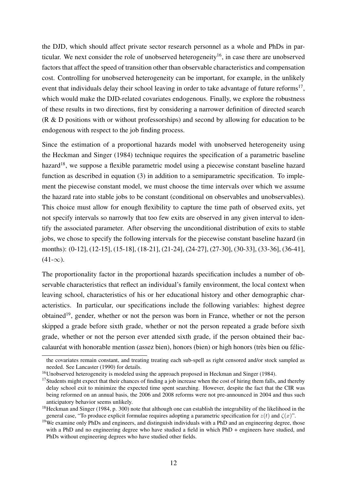the DJD, which should affect private sector research personnel as a whole and PhDs in par-ticular. We next consider the role of unobserved heterogeneity<sup>[16](#page--1-0)</sup>, in case there are unobserved factors that affect the speed of transition other than observable characteristics and compensation cost. Controlling for unobserved heterogeneity can be important, for example, in the unlikely event that individuals delay their school leaving in order to take advantage of future reforms<sup>[17](#page--1-0)</sup>, which would make the DJD-related covariates endogenous. Finally, we explore the robustness of these results in two directions, first by considering a narrower definition of directed search (R & D positions with or without professorships) and second by allowing for education to be endogenous with respect to the job finding process.

Since the estimation of a proportional hazards model with unobserved heterogeneity using the [Heckman and Singer](#page-32-7) [\(1984\)](#page-32-7) technique requires the specification of a parametric baseline hazard<sup>[18](#page--1-0)</sup>, we suppose a flexible parametric model using a piecewise constant baseline hazard function as described in equation [\(3\)](#page-13-1) in addition to a semiparametric specification. To implement the piecewise constant model, we must choose the time intervals over which we assume the hazard rate into stable jobs to be constant (conditional on observables and unobservables). This choice must allow for enough flexibility to capture the time path of observed exits, yet not specify intervals so narrowly that too few exits are observed in any given interval to identify the associated parameter. After observing the unconditional distribution of exits to stable jobs, we chose to specify the following intervals for the piecewise constant baseline hazard (in months): (0-12], (12-15], (15-18], (18-21], (21-24], (24-27], (27-30], (30-33], (33-36], (36-41],  $(41-\infty)$ .

The proportionality factor in the proportional hazards specification includes a number of observable characteristics that reflect an individual's family environment, the local context when leaving school, characteristics of his or her educational history and other demographic characteristics. In particular, our specifications include the following variables: highest degree obtained<sup>[19](#page--1-0)</sup>, gender, whether or not the person was born in France, whether or not the person skipped a grade before sixth grade, whether or not the person repeated a grade before sixth grade, whether or not the person ever attended sixth grade, if the person obtained their baccalauréat with honorable mention (assez bien), honors (bien) or high honors (très bien ou félic-

the covariates remain constant, and treating treating each sub-spell as right censored and/or stock sampled as needed. See [Lancaster](#page-32-5) [\(1990\)](#page-32-5) for details.

<sup>&</sup>lt;sup>16</sup>Unobserved heterogeneity is modeled using the approach proposed in [Heckman and Singer](#page-32-7) [\(1984\)](#page-32-7).

<sup>&</sup>lt;sup>17</sup>Students might expect that their chances of finding a job increase when the cost of hiring them falls, and thereby delay school exit to minimize the expected time spent searching. However, despite the fact that the CIR was being reformed on an annual basis, the 2006 and 2008 reforms were not pre-announced in 2004 and thus such anticipatory behavior seems unlikely.

<sup>&</sup>lt;sup>18</sup>[Heckman and Singer](#page-32-7) [\(1984,](#page-32-7) p. 300) note that although one can establish the integrability of the likelihood in the general case, "To produce explicit formulae requires adopting a parametric specification for  $z(t)$  and  $\zeta(x)$ ".

<sup>&</sup>lt;sup>19</sup>We examine only PhDs and engineers, and distinguish individuals with a PhD and an engineering degree, those with a PhD and no engineering degree who have studied a field in which PhD + engineers have studied, and PhDs without engineering degrees who have studied other fields.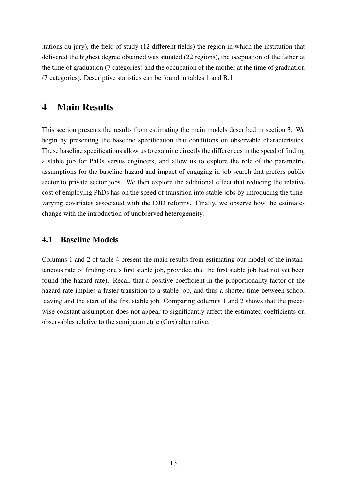itations du jury), the field of study (12 different fields) the region in which the institution that delivered the highest degree obtained was situated (22 regions), the occpuation of the father at the time of graduation (7 categories) and the occupation of the mother at the time of graduation (7 categories). Descriptive statistics can be found in tables [1](#page-7-0) and [B.1.](#page-36-0)

### <span id="page-15-0"></span>4 Main Results

This section presents the results from estimating the main models described in section [3.](#page-12-0) We begin by presenting the baseline specification that conditions on observable characteristics. These baseline specifications allow us to examine directly the differences in the speed of finding a stable job for PhDs versus engineers, and allow us to explore the role of the parametric assumptions for the baseline hazard and impact of engaging in job search that prefers public sector to private sector jobs. We then explore the additional effect that reducing the relative cost of employing PhDs has on the speed of transition into stable jobs by introducing the timevarying covariates associated with the DJD reforms. Finally, we observe how the estimates change with the introduction of unobserved heterogeneity.

#### 4.1 Baseline Models

Columns 1 and 2 of table [4](#page-16-0) present the main results from estimating our model of the instantaneous rate of finding one's first stable job, provided that the first stable job had not yet been found (the hazard rate). Recall that a positive coefficient in the proportionality factor of the hazard rate implies a faster transition to a stable job, and thus a shorter time between school leaving and the start of the first stable job. Comparing columns 1 and 2 shows that the piecewise constant assumption does not appear to significantly affect the estimated coefficients on observables relative to the semiparametric (Cox) alternative.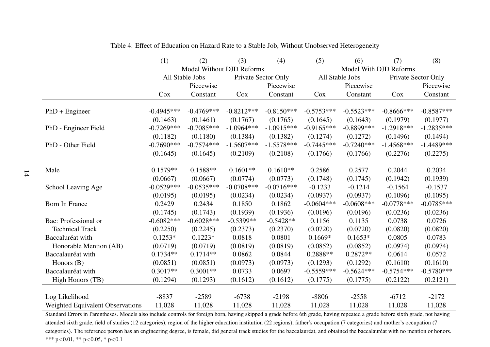|                                  | (1)          | (2)             | (3)                       | (4)          | (5)          | (6)             | (7)                    | (8)          |
|----------------------------------|--------------|-----------------|---------------------------|--------------|--------------|-----------------|------------------------|--------------|
|                                  |              |                 | Model Without DJD Reforms |              |              |                 | Model With DJD Reforms |              |
|                                  |              | All Stable Jobs | Private Sector Only       |              |              | All Stable Jobs | Private Sector Only    |              |
|                                  |              | Piecewise       |                           | Piecewise    |              | Piecewise       |                        | Piecewise    |
|                                  | Cox          | Constant        | Cox                       | Constant     | Cox          | Constant        | Cox                    | Constant     |
|                                  |              |                 |                           |              |              |                 |                        |              |
| $PhD + Engineering$              | $-0.4945***$ | $-0.4769***$    | $-0.8212***$              | $-0.8150***$ | $-0.5753***$ | $-0.5523***$    | $-0.8666$ ***          | $-0.8587***$ |
|                                  | (0.1463)     | (0.1461)        | (0.1767)                  | (0.1765)     | (0.1645)     | (0.1643)        | (0.1979)               | (0.1977)     |
| PhD - Engineer Field             | $-0.7269***$ | $-0.7085***$    | $-1.0964***$              | $-1.0915***$ | $-0.9165***$ | $-0.8899$ ***   | $-1.2918***$           | $-1.2835***$ |
|                                  | (0.1182)     | (0.1180)        | (0.1384)                  | (0.1382)     | (0.1274)     | (0.1272)        | (0.1496)               | (0.1494)     |
| PhD - Other Field                | $-0.7690***$ | $-0.7574***$    | $-1.5607***$              | $-1.5578***$ | $-0.7445***$ | $-0.7240***$    | $-1.4568***$           | $-1.4489***$ |
|                                  | (0.1645)     | (0.1645)        | (0.2109)                  | (0.2108)     | (0.1766)     | (0.1766)        | (0.2276)               | (0.2275)     |
|                                  |              |                 |                           |              |              |                 |                        |              |
| Male                             | $0.1579**$   | $0.1588**$      | $0.1601**$                | $0.1610**$   | 0.2586       | 0.2577          | 0.2044                 | 0.2034       |
|                                  | (0.0667)     | (0.0667)        | (0.0774)                  | (0.0773)     | (0.1748)     | (0.1745)        | (0.1942)               | (0.1939)     |
| School Leaving Age               | $-0.0529***$ | $-0.0535***$    | $-0.0708***$              | $-0.0716***$ | $-0.1233$    | $-0.1214$       | $-0.1564$              | $-0.1537$    |
|                                  | (0.0195)     | (0.0195)        | (0.0234)                  | (0.0234)     | (0.0937)     | (0.0937)        | (0.1096)               | (0.1095)     |
| <b>Born In France</b>            | 0.2429       | 0.2434          | 0.1850                    | 0.1862       | $-0.0604***$ | $-0.0608***$    | $-0.0778***$           | $-0.0785***$ |
|                                  | (0.1745)     | (0.1743)        | (0.1939)                  | (0.1936)     | (0.0196)     | (0.0196)        | (0.0236)               | (0.0236)     |
| Bac: Professional or             | $-0.6082***$ | $-0.6028***$    | $-0.5399**$               | $-0.5428**$  | 0.1156       | 0.1135          | 0.0738                 | 0.0726       |
| <b>Technical Track</b>           | (0.2250)     | (0.2245)        | (0.2373)                  | (0.2370)     | (0.0720)     | (0.0720)        | (0.0820)               | (0.0820)     |
| Baccaluréat with                 | $0.1253*$    | $0.1223*$       | 0.0818                    | 0.0801       | $0.1669*$    | $0.1653*$       | 0.0805                 | 0.0783       |
| Honorable Mention (AB)           | (0.0719)     | (0.0719)        | (0.0819)                  | (0.0819)     | (0.0852)     | (0.0852)        | (0.0974)               | (0.0974)     |
| Baccalauréat with                | $0.1734**$   | $0.1714**$      | 0.0862                    | 0.0844       | $0.2888**$   | $0.2872**$      | 0.0614                 | 0.0572       |
| Honors (B)                       | (0.0851)     | (0.0851)        | (0.0973)                  | (0.0973)     | (0.1293)     | (0.1292)        | (0.1610)               | (0.1610)     |
| Baccalauréat with                | $0.3017**$   | $0.3001**$      | 0.0733                    | 0.0697       | $-0.5559***$ | $-0.5624***$    | $-0.5754***$           | $-0.5780***$ |
| High Honors (TB)                 | (0.1294)     | (0.1293)        | (0.1612)                  | (0.1612)     | (0.1775)     | (0.1775)        | (0.2122)               | (0.2121)     |
|                                  |              |                 |                           |              |              |                 |                        |              |
| Log Likelihood                   | $-8837$      | $-2589$         | $-6738$                   | $-2198$      | $-8806$      | $-2558$         | $-6712$                | $-2172$      |
| Weighted Equivalent Observations | 11,028       | 11,028          | 11,028                    | 11,028       | 11,028       | 11,028          | 11,028                 | 11,028       |

Table 4: Effect of Education on Hazard Rate to <sup>a</sup> Stable Job, Without Unobserved Heterogeneity

<span id="page-16-0"></span> Standard Errors in Parentheses. Models also include controls for foreign born, having skipped <sup>a</sup> grade before 6th grade, having repeated <sup>a</sup> grade before sixth grade, not havingattended sixth grade, field of studies (12 categories), region of the higher education institution (22 regions), father's occupation (7 categories) and mother's occupation (7 categories). The reference person has an engineering degree, is female, did general track studies for the baccalauréat, and obtained the baccalauréat with no mention or honors.\*\*\* p*<sup>&</sup>lt;*0.01, \*\* p*<sup>&</sup>lt;*0.05, \* p*<*0.1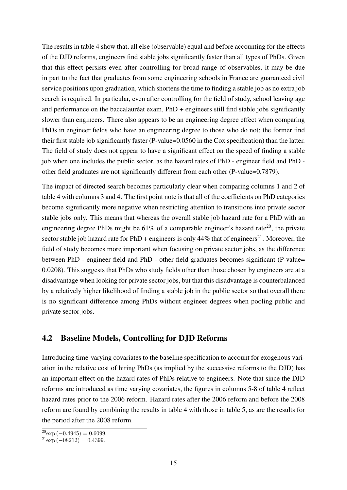The results in table [4](#page-16-0) show that, all else (observable) equal and before accounting for the effects of the DJD reforms, engineers find stable jobs significantly faster than all types of PhDs. Given that this effect persists even after controlling for broad range of observables, it may be due in part to the fact that graduates from some engineering schools in France are guaranteed civil service positions upon graduation, which shortens the time to finding a stable job as no extra job search is required. In particular, even after controlling for the field of study, school leaving age and performance on the baccalauréat exam, PhD + engineers still find stable jobs significantly slower than engineers. There also appears to be an engineering degree effect when comparing PhDs in engineer fields who have an engineering degree to those who do not; the former find their first stable job significantly faster (P-value=0.0560 in the Cox specification) than the latter. The field of study does not appear to have a significant effect on the speed of finding a stable job when one includes the public sector, as the hazard rates of PhD - engineer field and PhD other field graduates are not significantly different from each other (P-value=0.7879).

The impact of directed search becomes particularly clear when comparing columns 1 and 2 of table [4](#page-16-0) with columns 3 and 4. The first point note is that all of the coefficients on PhD categories become significantly more negative when restricting attention to transitions into private sector stable jobs only. This means that whereas the overall stable job hazard rate for a PhD with an engineering degree PhDs might be  $61\%$  of a comparable engineer's hazard rate<sup>[20](#page--1-0)</sup>, the private sector stable job hazard rate for PhD + engineers is only  $44\%$  that of engineers<sup>[21](#page--1-0)</sup>. Moreover, the field of study becomes more important when focusing on private sector jobs, as the difference between PhD - engineer field and PhD - other field graduates becomes significant (P-value= 0.0208). This suggests that PhDs who study fields other than those chosen by engineers are at a disadvantage when looking for private sector jobs, but that this disadvantage is counterbalanced by a relatively higher likelihood of finding a stable job in the public sector so that overall there is no significant difference among PhDs without engineer degrees when pooling public and private sector jobs.

#### <span id="page-17-0"></span>4.2 Baseline Models, Controlling for DJD Reforms

Introducing time-varying covariates to the baseline specification to account for exogenous variation in the relative cost of hiring PhDs (as implied by the successive reforms to the DJD) has an important effect on the hazard rates of PhDs relative to engineers. Note that since the DJD reforms are introduced as time varying covariates, the figures in columns 5-8 of table [4](#page-16-0) reflect hazard rates prior to the 2006 reform. Hazard rates after the 2006 reform and before the 2008 reform are found by combining the results in table [4](#page-16-0) with those in table [5,](#page-18-0) as are the results for the period after the 2008 reform.

 $\frac{20}{20}$ exp (-0.4945) = 0.6099.

 $^{21}$ exp (−08212) = 0.4399.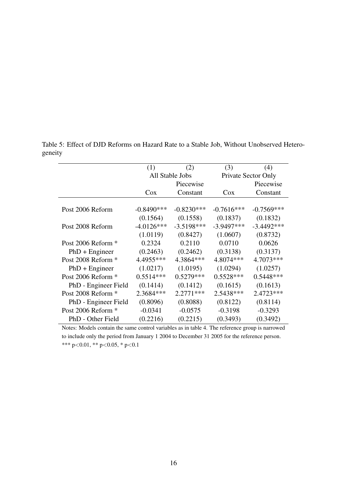<span id="page-18-1"></span>

|                      | (1)          | (2)             | (3)          | (4)                 |
|----------------------|--------------|-----------------|--------------|---------------------|
|                      |              | All Stable Jobs |              | Private Sector Only |
|                      |              | Piecewise       |              | Piecewise           |
|                      | $\cos$       | Constant        | $\cos$       | Constant            |
|                      |              |                 |              |                     |
| Post 2006 Reform     | $-0.8490***$ | $-0.8230***$    | $-0.7616***$ | $-0.7569***$        |
|                      | (0.1564)     | (0.1558)        | (0.1837)     | (0.1832)            |
| Post 2008 Reform     | $-4.0126***$ | $-3.5198***$    | $-3.9497***$ | $-3.4492***$        |
|                      | (1.0119)     | (0.8427)        | (1.0607)     | (0.8732)            |
| Post 2006 Reform *   | 0.2324       | 0.2110          | 0.0710       | 0.0626              |
| $PhD + Engineering$  | (0.2463)     | (0.2462)        | (0.3138)     | (0.3137)            |
| Post 2008 Reform *   | 4.4955***    | 4.3864 ***      | 4.8074***    | 4.7073***           |
| $PhD + Engineering$  | (1.0217)     | (1.0195)        | (1.0294)     | (1.0257)            |
| Post 2006 Reform *   | $0.5514***$  | $0.5279***$     | $0.5528***$  | $0.5448***$         |
| PhD - Engineer Field | (0.1414)     | (0.1412)        | (0.1615)     | (0.1613)            |
| Post 2008 Reform *   | 2.3684***    | $2.2771***$     | 2.5438***    | 2.4723 ***          |
| PhD - Engineer Field | (0.8096)     | (0.8088)        | (0.8122)     | (0.8114)            |
| Post 2006 Reform *   | $-0.0341$    | $-0.0575$       | $-0.3198$    | $-0.3293$           |
| PhD - Other Field    | (0.2216)     | (0.2215)        | (0.3493)     | (0.3492)            |

<span id="page-18-0"></span>Table 5: Effect of DJD Reforms on Hazard Rate to a Stable Job, Without Unobserved Heterogeneity

Notes: Models contain the same control variables as in table [4.](#page-16-0) The reference group is narrowed to include only the period from January 1 2004 to December 31 2005 for the reference person. \*\*\* p*<*0.01, \*\* p*<*0.05, \* p*<*0.1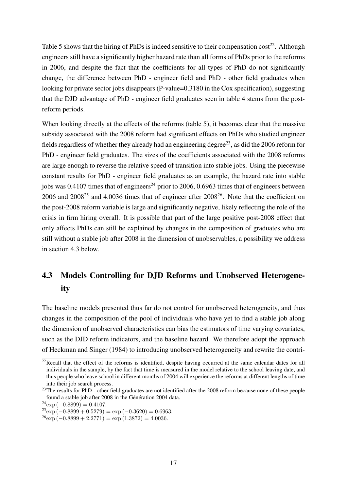Table [5](#page-18-0) shows that the hiring of PhDs is indeed sensitive to their compensation  $\cos t^{22}$  $\cos t^{22}$  $\cos t^{22}$ . Although engineers still have a significantly higher hazard rate than all forms of PhDs prior to the reforms in 2006, and despite the fact that the coefficients for all types of PhD do not significantly change, the difference between PhD - engineer field and PhD - other field graduates when looking for private sector jobs disappears (P-value=0.3180 in the Cox specification), suggesting that the DJD advantage of PhD - engineer field graduates seen in table [4](#page-16-0) stems from the postreform periods.

When looking directly at the effects of the reforms (table [5\)](#page-18-0), it becomes clear that the massive subsidy associated with the 2008 reform had significant effects on PhDs who studied engineer fields regardless of whether they already had an engineering degree<sup>[23](#page--1-0)</sup>, as did the 2006 reform for PhD - engineer field graduates. The sizes of the coefficients associated with the 2008 reforms are large enough to reverse the relative speed of transition into stable jobs. Using the piecewise constant results for PhD - engineer field graduates as an example, the hazard rate into stable jobs was 0.4107 times that of engineers<sup>[24](#page--1-0)</sup> prior to 2006, 0.6963 times that of engineers between 2006 and  $2008^{25}$  $2008^{25}$  $2008^{25}$  and  $4.0036$  times that of engineer after  $2008^{26}$  $2008^{26}$  $2008^{26}$ . Note that the coefficient on the post-2008 reform variable is large and significantly negative, likely reflecting the role of the crisis in firm hiring overall. It is possible that part of the large positive post-2008 effect that only affects PhDs can still be explained by changes in the composition of graduates who are still without a stable job after 2008 in the dimension of unobservables, a possibility we address in section [4.3](#page-19-0) below.

### <span id="page-19-0"></span>4.3 Models Controlling for DJD Reforms and Unobserved Heterogeneity

The baseline models presented thus far do not control for unobserved heterogeneity, and thus changes in the composition of the pool of individuals who have yet to find a stable job along the dimension of unobserved characteristics can bias the estimators of time varying covariates, such as the DJD reform indicators, and the baseline hazard. We therefore adopt the approach of [Heckman and Singer](#page-32-7) [\(1984\)](#page-32-7) to introducing unobserved heterogeneity and rewrite the contri-

 $22$ Recall that the effect of the reforms is identified, despite having occurred at the same calendar dates for all individuals in the sample, by the fact that time is measured in the model relative to the school leaving date, and thus people who leave school in different months of 2004 will experience the reforms at different lengths of time into their job search process.

<sup>&</sup>lt;sup>23</sup>The results for PhD - other field graduates are not identified after the 2008 reform because none of these people found a stable job after 2008 in the Génération 2004 data.

 $^{24}$ exp (−0.8899) = 0.4107.

 $25 \text{exp}(-0.8899 + 0.5279) = \text{exp}(-0.3620) = 0.6963.$ 

 $^{26}$ exp (-0*.*8899 + 2*.*2771) = exp (1*.3872)* = 4*.0036*.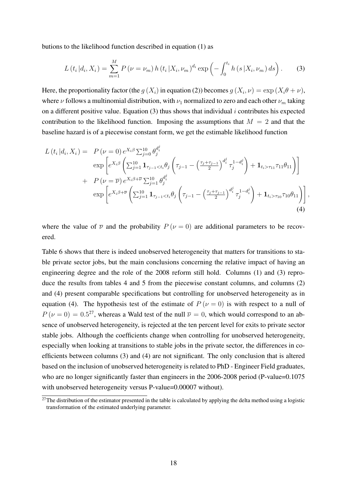butions to the likelihood function described in equation [\(1\)](#page-13-0) as

<span id="page-20-1"></span>
$$
L(t_i|d_i, X_i) = \sum_{m=1}^{M} P(\nu = \nu_m) h(t_i|X_i, \nu_m)^{d_i} \exp\left(-\int_0^{t_i} h(s|X_i, \nu_m) ds\right).
$$
 (3)

Here, the proportionality factor (the  $g(X_i)$  in equation [\(2\)](#page-13-1)) becomes  $g(X_i, \nu) = \exp(X_i \theta + \nu)$ , where *ν* follows a multinomial distribution, with  $\nu_1$  normalized to zero and each other  $\nu_m$  taking on a different positive value. Equation [\(3\)](#page-20-1) thus shows that individual *i* contributes his expected contribution to the likelihood function. Imposing the assumptions that  $M = 2$  and that the baseline hazard is of a piecewise constant form, we get the estimable likelihood function

$$
L(t_i|d_i, X_i) = P(\nu = 0) e^{X_i \beta} \sum_{j=0}^{10} \theta_j^{d_i^j}
$$
  
\n
$$
\exp\left[e^{X_i \beta} \left(\sum_{j=1}^{10} \mathbf{1}_{\tau_{j-1} < t_i} \theta_j \left(\tau_{j-1} - \left(\frac{\tau_j + \tau_{j-1}}{2}\right)^{d_i^j} \tau_j^{1 - d_i^j}\right) + \mathbf{1}_{t_i > \tau_{11}} \tau_{11} \theta_{11}\right)\right]
$$
  
\n
$$
+ P(\nu = \overline{\nu}) e^{X_i \beta + \overline{\nu}} \sum_{j=1}^{10} \theta_j^{d_i^j}
$$
  
\n
$$
\exp\left[e^{X_i \beta + \overline{\nu}} \left(\sum_{j=1}^{10} \mathbf{1}_{\tau_{j-1} < t_i} \theta_j \left(\tau_{j-1} - \left(\frac{\tau_j + \tau_{j-1}}{2}\right)^{d_i^j} \tau_j^{1 - d_i^j}\right) + \mathbf{1}_{t_i > \tau_{10}} \tau_{10} \theta_{11}\right)\right],
$$
\n(4)

<span id="page-20-2"></span>where the value of  $\overline{\nu}$  and the probability  $P(\nu = 0)$  are additional parameters to be recovered.

Table [6](#page-21-0) shows that there is indeed unobserved heterogeneity that matters for transitions to stable private sector jobs, but the main conclusions concerning the relative impact of having an engineering degree and the role of the 2008 reform still hold. Columns (1) and (3) repro-duce the results from tables [4](#page-16-0) and [5](#page-18-0) from the piecewise constant columns, and columns (2) and (4) present comparable specifications but controlling for unobserved heterogeneity as in equation [\(4\)](#page-20-2). The hypothesis test of the estimate of  $P(\nu = 0)$  is with respect to a null of  $P(\nu = 0) = 0.5^{27}$  $P(\nu = 0) = 0.5^{27}$  $P(\nu = 0) = 0.5^{27}$ , whereas a Wald test of the null  $\overline{\nu} = 0$ , which would correspond to an absence of unobserved heterogeneity, is rejected at the ten percent level for exits to private sector stable jobs. Although the coefficients change when controlling for unobserved heterogeneity, especially when looking at transitions to stable jobs in the private sector, the differences in coefficients between columns (3) and (4) are not significant. The only conclusion that is altered based on the inclusion of unobserved heterogeneity is related to PhD - Engineer Field graduates, who are no longer significantly faster than engineers in the 2006-2008 period (P-value=0.1075 with unobserved heterogeneity versus P-value=0.00007 without).

<span id="page-20-0"></span> $27$ The distribution of the estimator presented in the table is calculated by applying the delta method using a logistic transformation of the estimated underlying parameter.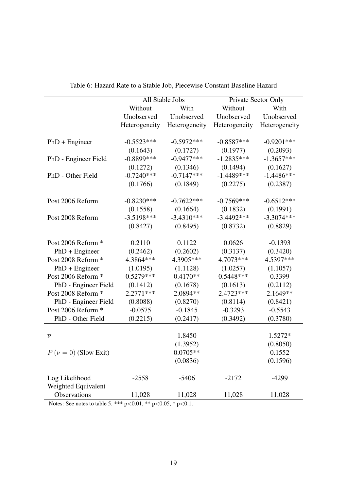<span id="page-21-0"></span>

|                          |               | All Stable Jobs |               | Private Sector Only |  |  |
|--------------------------|---------------|-----------------|---------------|---------------------|--|--|
|                          | Without       | With            | Without       | With                |  |  |
|                          | Unobserved    | Unobserved      | Unobserved    | Unobserved          |  |  |
|                          | Heterogeneity | Heterogeneity   | Heterogeneity | Heterogeneity       |  |  |
|                          |               |                 |               |                     |  |  |
| $PhD + Engineering$      | $-0.5523***$  | $-0.5972***$    | $-0.8587***$  | $-0.9201***$        |  |  |
|                          | (0.1643)      | (0.1727)        | (0.1977)      | (0.2093)            |  |  |
| PhD - Engineer Field     | $-0.8899$ *** | $-0.9477***$    | $-1.2835***$  | $-1.3657***$        |  |  |
|                          | (0.1272)      | (0.1346)        | (0.1494)      | (0.1627)            |  |  |
| PhD - Other Field        | $-0.7240***$  | $-0.7147***$    | $-1.4489***$  | $-1.4486***$        |  |  |
|                          | (0.1766)      | (0.1849)        | (0.2275)      | (0.2387)            |  |  |
|                          |               |                 |               |                     |  |  |
| Post 2006 Reform         | $-0.8230***$  | $-0.7622***$    | $-0.7569***$  | $-0.6512***$        |  |  |
|                          | (0.1558)      | (0.1664)        | (0.1832)      | (0.1991)            |  |  |
| Post 2008 Reform         | $-3.5198***$  | $-3.4310***$    | $-3.4492***$  | $-3.3074***$        |  |  |
|                          | (0.8427)      | (0.8495)        | (0.8732)      | (0.8829)            |  |  |
|                          |               |                 |               |                     |  |  |
| Post 2006 Reform *       | 0.2110        | 0.1122          | 0.0626        | $-0.1393$           |  |  |
| $PhD + Engineering$      | (0.2462)      | (0.2602)        | (0.3137)      | (0.3420)            |  |  |
| Post 2008 Reform *       | 4.3864 ***    | 4.3905***       | 4.7073***     | 4.5397***           |  |  |
| $PhD + Engineering$      | (1.0195)      | (1.1128)        | (1.0257)      | (1.1057)            |  |  |
| Post 2006 Reform *       | $0.5279***$   | $0.4170**$      | $0.5448***$   | 0.3399              |  |  |
| PhD - Engineer Field     | (0.1412)      | (0.1678)        | (0.1613)      | (0.2112)            |  |  |
| Post 2008 Reform *       | 2.2771 ***    | 2.0894 **       | 2.4723***     | 2.1649**            |  |  |
| PhD - Engineer Field     | (0.8088)      | (0.8270)        | (0.8114)      | (0.8421)            |  |  |
| Post 2006 Reform *       | $-0.0575$     | $-0.1845$       | $-0.3293$     | $-0.5543$           |  |  |
| PhD - Other Field        | (0.2215)      | (0.2417)        | (0.3492)      | (0.3780)            |  |  |
|                          |               |                 |               |                     |  |  |
| $\overline{\nu}$         |               | 1.8450          |               | 1.5272*             |  |  |
|                          |               | (1.3952)        |               | (0.8050)            |  |  |
| $P(\nu = 0)$ (Slow Exit) |               | $0.0705**$      |               | 0.1552              |  |  |
|                          |               | (0.0836)        |               | (0.1596)            |  |  |
|                          |               |                 |               |                     |  |  |
| Log Likelihood           | $-2558$       | $-5406$         | $-2172$       | $-4299$             |  |  |
| Weighted Equivalent      |               |                 |               |                     |  |  |
| Observations             | 11,028        | 11,028          | 11,028        | 11,028              |  |  |

Table 6: Hazard Rate to a Stable Job, Piecewise Constant Baseline Hazard

Notes: See notes to table [5.](#page-18-0) \*\*\* p*<*0.01, \*\* p*<*0.05, \* p*<*0.1.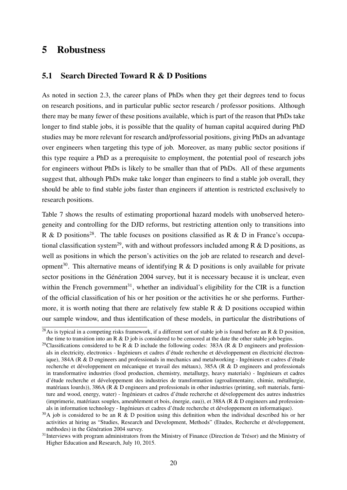### 5 Robustness

#### <span id="page-22-0"></span>5.1 Search Directed Toward R & D Positions

As noted in section [2.3,](#page-9-0) the career plans of PhDs when they get their degrees tend to focus on research positions, and in particular public sector research / professor positions. Although there may be many fewer of these positions available, which is part of the reason that PhDs take longer to find stable jobs, it is possible that the quality of human capital acquired during PhD studies may be more relevant for research and/professorial positions, giving PhDs an advantage over engineers when targeting this type of job. Moreover, as many public sector positions if this type require a PhD as a prerequisite to employment, the potential pool of research jobs for engineers without PhDs is likely to be smaller than that of PhDs. All of these arguments suggest that, although PhDs make take longer than engineers to find a stable job overall, they should be able to find stable jobs faster than engineers if attention is restricted exclusively to research positions.

Table [7](#page-24-0) shows the results of estimating proportional hazard models with unobserved heterogeneity and controlling for the DJD reforms, but restricting attention only to transitions into R & D positions<sup>[28](#page--1-0)</sup>. The table focuses on positions classified as R & D in France's occupa-tional classification system<sup>[29](#page--1-0)</sup>, with and without professors included among R & D positions, as well as positions in which the person's activities on the job are related to research and devel-opment<sup>[30](#page--1-0)</sup>. This alternative means of identifying R & D positions is only available for private sector positions in the Génération 2004 survey, but it is necessary because it is unclear, even within the French government<sup>[31](#page--1-0)</sup>, whether an individual's eligibility for the CIR is a function of the official classification of his or her position or the activities he or she performs. Furthermore, it is worth noting that there are relatively few stable R & D positions occupied within our sample window, and thus identification of these models, in particular the distributions of

 $\frac{28}{8}$ As is typical in a competing risks framework, if a different sort of stable job is found before an R & D position, the time to transition into an R  $\&$  D job is considered to be censored at the date the other stable job begins.

<sup>&</sup>lt;sup>29</sup>Classifications considered to be R & D include the following codes: 383A (R & D engineers and professionals in electricity, electronics - Ingénieurs et cadres d'étude recherche et développement en électricité électronique), 384A (R & D engineers and professionals in mechanics and metalworking - Ingénieurs et cadres d'étude recherche et développement en mécanique et travail des métaux), 385A (R & D engineers and professionals in transformative industries (food production, chemistry, metallurgy, heavy materials) - Ingénieurs et cadres d'étude recherche et développement des industries de transformation (agroalimentaire, chimie, métallurgie, matériaux lourds)), 386A (R & D engineers and professionals in other industries (printing, soft materials, furniture and wood, energy, water) - Ingénieurs et cadres d'étude recherche et développement des autres industries (imprimerie, matériaux souples, ameublement et bois, énergie, eau)), et 388A (R & D engineers and professionals in information technology - Ingénieurs et cadres d'étude recherche et développement en informatique).

 $30A$  job is considered to be an R & D position using this definition when the individual described his or her activities at hiring as "Studies, Research and Development, Methods" (Etudes, Recherche et développement, méthodes) in the Génération 2004 survey.

<sup>&</sup>lt;sup>31</sup>Interviews with program administrators from the Ministry of Finance (Direction de Trésor) and the Ministry of Higher Education and Research, July 10, 2015.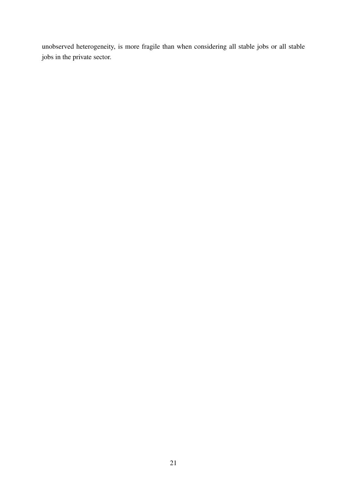unobserved heterogeneity, is more fragile than when considering all stable jobs or all stable jobs in the private sector.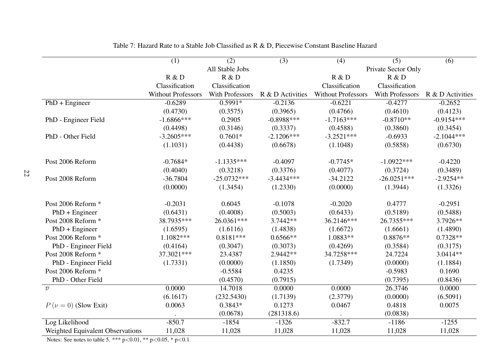|                                  | (1)                       | (2)                    | (3)              | (4)                       | (5)                    | (6)              |
|----------------------------------|---------------------------|------------------------|------------------|---------------------------|------------------------|------------------|
|                                  |                           | All Stable Jobs        |                  |                           | Private Sector Only    |                  |
|                                  | R & D                     | R & D                  |                  | R & D                     | R & D                  |                  |
|                                  | Classification            | Classification         |                  | Classification            | Classification         |                  |
|                                  | <b>Without Professors</b> | <b>With Professors</b> | R & D Activities | <b>Without Professors</b> | <b>With Professors</b> | R & D Activities |
| $PhD + Engineering$              | $-0.6289$                 | $0.5991*$              | $-0.2136$        | $-0.6221$                 | $-0.4277$              | $-0.2652$        |
|                                  | (0.4730)                  | (0.3575)               | (0.3965)         | (0.4766)                  | (0.4610)               | (0.4123)         |
| PhD - Engineer Field             | $-1.6866$ ***             | 0.2905                 | $-0.8988***$     | $-1.7163***$              | $-0.8710**$            | $-0.9154***$     |
|                                  | (0.4498)                  | (0.3146)               | (0.3337)         | (0.4588)                  | (0.3860)               | (0.3454)         |
| PhD - Other Field                | $-3.2605***$              | $0.7601*$              | $-2.1206***$     | $-3.2521***$              | $-0.6933$              | $-2.1044***$     |
|                                  | (1.1031)                  | (0.4438)               | (0.6678)         | (1.1048)                  | (0.5858)               | (0.6730)         |
| Post 2006 Reform                 | $-0.7684*$                | $-1.1335***$           | $-0.4097$        | $-0.7745*$                | $-1.0922***$           | $-0.4220$        |
|                                  | (0.4040)                  | (0.3218)               | (0.3376)         | (0.4077)                  | (0.3724)               | (0.3489)         |
| Post 2008 Reform                 | $-36.7804$                | $-25.0732***$          | $-3.4434***$     | $-34.2122$                | $-26.0251***$          | $-2.9254**$      |
|                                  | (0.0000)                  | (1.3454)               | (1.2330)         | (0.0000)                  | (1.3944)               | (1.3326)         |
| Post 2006 Reform *               | $-0.2031$                 | 0.6045                 | $-0.1078$        | $-0.2020$                 | 0.4777                 | $-0.2951$        |
| $PhD + Engineering$              | (0.6431)                  | (0.4008)               | (0.5003)         | (0.6433)                  | (0.5189)               | (0.5488)         |
| Post 2008 Reform *               | 38.7935***                | 26.0361***             | 3.7442 **        | 36.2146***                | 26.7355***             | 3.7926**         |
| $PhD + Engineering$              | (1.6595)                  | (1.6116)               | (1.4838)         | (1.6672)                  | (1.6661)               | (1.4890)         |
| Post 2006 Reform *               | $1.1082***$               | $0.8181***$            | $0.6566**$       | 1.0883**                  | $0.8876**$             | $0.7328**$       |
| PhD - Engineer Field             | (0.4164)                  | (0.3047)               | (0.3073)         | (0.4269)                  | (0.3584)               | (0.3175)         |
| Post 2008 Reform *               | 37.3021***                | 23.4387                | 2.9442 **        | 34.7258***                | 24.7224                | 3.0414**         |
| PhD - Engineer Field             | (1.7331)                  | (0.0000)               | (1.1850)         | (1.7349)                  | (0.0000)               | (1.1884)         |
| Post 2006 Reform *               |                           | $-0.5584$              | 0.4235           |                           | $-0.5983$              | 0.1690           |
| PhD - Other Field                |                           | (0.4570)               | (0.7915)         |                           | (0.7395)               | (0.8436)         |
| $\overline{\nu}$                 | 0.0000                    | 14.7018                | 0.0000           | 0.0000                    | 26.3746                | 0.0000           |
|                                  | (6.1617)                  | (232.5430)             | (1.7139)         | (2.3779)                  | (0.0000)               | (6.5091)         |
| $P(\nu = 0)$ (Slow Exit)         | 0.0063                    | 0.3843*                | 0.1273           | 0.0467                    | 0.4818                 | 0.0075           |
|                                  |                           | (0.0678)               | (281318.6)       |                           | (0.0838)               |                  |
| Log Likelihood                   | $-850.7$                  | $-1854$                | $-1326$          | $-832.7$                  | $-1186$                | $-1255$          |
| Weighted Equivalent Observations | 11,028                    | 11,028                 | 11,028           | 11,028                    | 11,028                 | 11,028           |

<span id="page-24-0"></span>Table 7: Hazard Rate to <sup>a</sup> Stable Job Classified as R & D, Piecewise Constant Baseline Hazard

Notes: See notes to table [5.](#page-18-1) \*\*\* <sup>p</sup> *<sup>&</sup>lt;*0.01, \*\* p *<sup>&</sup>lt;*0.05, \* p *<*0.1.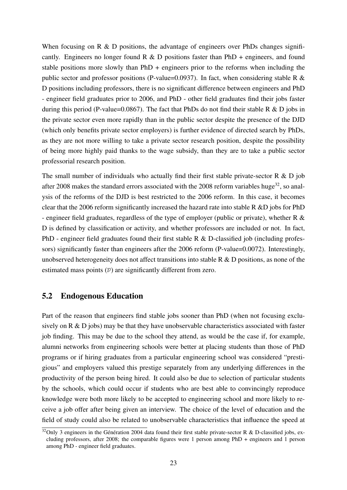When focusing on R & D positions, the advantage of engineers over PhDs changes significantly. Engineers no longer found  $R \& D$  positions faster than PhD + engineers, and found stable positions more slowly than PhD + engineers prior to the reforms when including the public sector and professor positions (P-value=0.0937). In fact, when considering stable R & D positions including professors, there is no significant difference between engineers and PhD - engineer field graduates prior to 2006, and PhD - other field graduates find their jobs faster during this period (P-value=0.0867). The fact that PhDs do not find their stable R  $\&$  D jobs in the private sector even more rapidly than in the public sector despite the presence of the DJD (which only benefits private sector employers) is further evidence of directed search by PhDs, as they are not more willing to take a private sector research position, despite the possibility of being more highly paid thanks to the wage subsidy, than they are to take a public sector professorial research position.

The small number of individuals who actually find their first stable private-sector R  $\&$  D job after 2008 makes the standard errors associated with the 2008 reform variables huge<sup>[32](#page--1-0)</sup>, so analysis of the reforms of the DJD is best restricted to the 2006 reform. In this case, it becomes clear that the 2006 reform significantly increased the hazard rate into stable R &D jobs for PhD - engineer field graduates, regardless of the type of employer (public or private), whether R & D is defined by classification or activity, and whether professors are included or not. In fact, PhD - engineer field graduates found their first stable R & D-classified job (including professors) significantly faster than engineers after the 2006 reform (P-value=0.0072). Interestingly, unobserved heterogeneity does not affect transitions into stable  $R \& D$  positions, as none of the estimated mass points  $(\bar{\nu})$  are significantly different from zero.

#### 5.2 Endogenous Education

Part of the reason that engineers find stable jobs sooner than PhD (when not focusing exclusively on R & D jobs) may be that they have unobservable characteristics associated with faster job finding. This may be due to the school they attend, as would be the case if, for example, alumni networks from engineering schools were better at placing students than those of PhD programs or if hiring graduates from a particular engineering school was considered "prestigious" and employers valued this prestige separately from any underlying differences in the productivity of the person being hired. It could also be due to selection of particular students by the schools, which could occur if students who are best able to convincingly reproduce knowledge were both more likely to be accepted to engineering school and more likely to receive a job offer after being given an interview. The choice of the level of education and the field of study could also be related to unobservable characteristics that influence the speed at

 $32$ Only 3 engineers in the Génération 2004 data found their first stable private-sector R & D-classified jobs, excluding professors, after 2008; the comparable figures were 1 person among PhD + engineers and 1 person among PhD - engineer field graduates.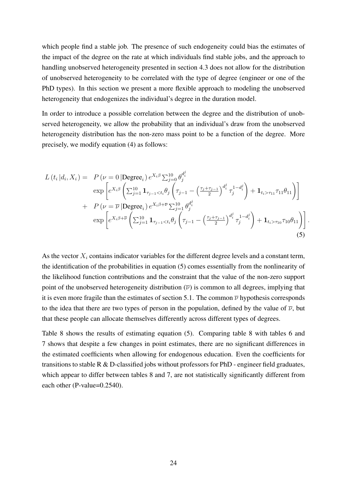which people find a stable job. The presence of such endogeneity could bias the estimates of the impact of the degree on the rate at which individuals find stable jobs, and the approach to handling unobserved heterogeneity presented in section [4.3](#page-19-0) does not allow for the distribution of unobserved heterogeneity to be correlated with the type of degree (engineer or one of the PhD types). In this section we present a more flexible approach to modeling the unobserved heterogeneity that endogenizes the individual's degree in the duration model.

In order to introduce a possible correlation between the degree and the distribution of unobserved heterogeneity, we allow the probability that an individual's draw from the unobserved heterogeneity distribution has the non-zero mass point to be a function of the degree. More precisely, we modify equation [\(4\)](#page-20-2) as follows:

$$
L(t_i|d_i, X_i) = P(\nu = 0 | \text{Degree}_i) e^{X_i \beta} \sum_{j=0}^{10} \theta_j^{d_i^j}
$$
  
\n
$$
\exp\left[e^{X_i \beta} \left(\sum_{j=1}^{10} \mathbf{1}_{\tau_{j-1} < t_i} \theta_j \left(\tau_{j-1} - \left(\frac{\tau_j + \tau_{j-1}}{2}\right)^{d_i^j} \tau_j^{1 - d_i^j}\right) + \mathbf{1}_{t_i > \tau_{11}} \tau_{11} \theta_{11}\right)\right]
$$
  
\n
$$
+ P(\nu = \overline{\nu} | \text{Degree}_i) e^{X_i \beta + \overline{\nu}} \sum_{j=1}^{10} \theta_j^{d_i^j}
$$
  
\n
$$
\exp\left[e^{X_i \beta + \overline{\nu}} \left(\sum_{j=1}^{10} \mathbf{1}_{\tau_{j-1} < t_i} \theta_j \left(\tau_{j-1} - \left(\frac{\tau_j + \tau_{j-1}}{2}\right)^{d_i^j} \tau_j^{1 - d_i^j}\right) + \mathbf{1}_{t_i > \tau_{10}} \tau_{10} \theta_{11}\right)\right].
$$
\n(5)

<span id="page-26-0"></span>As the vector  $X_i$  contains indicator variables for the different degree levels and a constant term, the identification of the probabilities in equation [\(5\)](#page-26-0) comes essentially from the nonlinearity of the likelihood function contributions and the constraint that the value of the non-zero support point of the unobserved heterogeneity distribution  $(\bar{\nu})$  is common to all degrees, implying that it is even more fragile than the estimates of section [5.1.](#page-22-0) The common  $\overline{\nu}$  hypothesis corresponds to the idea that there are two types of person in the population, defined by the value of  $\bar{\nu}$ , but that these people can allocate themselves differently across different types of degrees.

Table [8](#page-27-0) shows the results of estimating equation [\(5\)](#page-26-0). Comparing table [8](#page-27-0) with tables [6](#page-21-0) and [7](#page-24-0) shows that despite a few changes in point estimates, there are no significant differences in the estimated coefficients when allowing for endogenous education. Even the coefficients for transitions to stable R & D-classified jobs without professors for PhD - engineer field graduates, which appear to differ between tables [8](#page-27-0) and [7,](#page-24-0) are not statistically significantly different from each other (P-value=0.2540).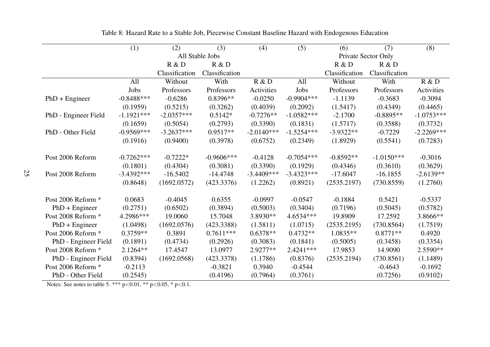|                      | $\overline{(1)}$ | (2)            | (3)             | (4)          | (5)          | (6)            | (7)                 | $\overline{(8)}$ |
|----------------------|------------------|----------------|-----------------|--------------|--------------|----------------|---------------------|------------------|
|                      |                  |                | All Stable Jobs |              |              |                | Private Sector Only |                  |
|                      |                  | R & D          | R & D           |              |              | R & D          | R & D               |                  |
|                      |                  | Classification | Classification  |              |              | Classification | Classification      |                  |
|                      | All              | Without        | With            | R & D        | All          | Without        | With                | R & D            |
|                      | Jobs             | Professors     | Professors      | Activities   | Jobs         | Professors     | Professors          | Activities       |
| $PhD + Engineering$  | $-0.8488***$     | $-0.6286$      | $0.8396**$      | $-0.0250$    | $-0.9904***$ | $-1.1139$      | $-0.3683$           | $-0.3094$        |
|                      | (0.1959)         | (0.5215)       | (0.3262)        | (0.4039)     | (0.2092)     | (1.5417)       | (0.4349)            | (0.4465)         |
| PhD - Engineer Field | $-1.1921***$     | $-2.0357***$   | $0.5142*$       | $-0.7276**$  | $-1.0582***$ | $-2.1700$      | $-0.8895**$         | $-1.0753***$     |
|                      | (0.1659)         | (0.5054)       | (0.2793)        | (0.3390)     | (0.1831)     | (1.5717)       | (0.3588)            | (0.3732)         |
| PhD - Other Field    | $-0.9569***$     | $-3.2637***$   | $0.9517**$      | $-2.0140***$ | $-1.5254***$ | $-3.9322**$    | $-0.7229$           | $-2.2269***$     |
|                      | (0.1916)         | (0.9400)       | (0.3978)        | (0.6752)     | (0.2349)     | (1.8929)       | (0.5541)            | (0.7283)         |
| Post 2006 Reform     | $-0.7262***$     | $-0.7222*$     | $-0.9606***$    | $-0.4128$    | $-0.7054***$ | $-0.8592**$    | $-1.0150***$        | $-0.3016$        |
|                      | (0.1801)         | (0.4304)       | (0.3081)        | (0.3390)     | (0.1929)     | (0.4346)       | (0.3610)            | (0.3629)         |
| Post 2008 Reform     | $-3.4392***$     | $-16.5402$     | $-14.4748$      | $-3.4409***$ | $-3.4323***$ | $-17.6047$     | $-16.1855$          | $-2.6139**$      |
|                      | (0.8648)         | (1692.0572)    | (423.3376)      | (1.2262)     | (0.8921)     | (2535.2197)    | (730.8559)          | (1.2760)         |
| Post 2006 Reform *   | 0.0683           | $-0.4045$      | 0.6355          | $-0.0997$    | $-0.0547$    | $-0.1884$      | 0.5421              | $-0.5337$        |
| $PhD + Engineering$  | (0.2751)         | (0.6502)       | (0.3894)        | (0.5003)     | (0.3404)     | (0.7196)       | (0.5045)            | (0.5782)         |
| Post 2008 Reform *   | 4.2986***        | 19.0060        | 15.7048         | 3.8930 **    | 4.6534***    | 19.8909        | 17.2592             | 3.8666**         |
| $PhD + Engineering$  | (1.0498)         | (1692.0576)    | (423.3388)      | (1.5811)     | (1.0715)     | (2535.2195)    | (730.8564)          | (1.7519)         |
| Post 2006 Reform *   | $0.3759**$       | 0.3891         | $0.7611***$     | $0.6378**$   | $0.4732**$   | $1.0835**$     | $0.8771**$          | 0.4920           |
| PhD - Engineer Field | (0.1891)         | (0.4734)       | (0.2926)        | (0.3083)     | (0.1841)     | (0.5005)       | (0.3458)            | (0.3354)         |
| Post 2008 Reform *   | $2.1264**$       | 17.4547        | 13.0977         | 2.9277**     | 2.4241 ***   | 17.9853        | 14.9090             | 2.5590**         |
| PhD - Engineer Field | (0.8394)         | (1692.0568)    | (423.3378)      | (1.1786)     | (0.8376)     | (2535.2194)    | (730.8561)          | (1.1489)         |
| Post 2006 Reform *   | $-0.2113$        |                | $-0.3821$       | 0.3940       | $-0.4544$    |                | $-0.4643$           | $-0.1692$        |
| PhD - Other Field    | (0.2545)         |                | (0.4196)        | (0.7964)     | (0.3761)     |                | (0.7256)            | (0.9102)         |

Table 8: Hazard Rate to <sup>a</sup> Stable Job, Piecewise Constant Baseline Hazard with Endogenous Education

<span id="page-27-0"></span>Notes: See notes to table [5.](#page-18-1) \*\*\* <sup>p</sup>*<sup>&</sup>lt;*0.01, \*\* p*<sup>&</sup>lt;*0.05, \* p*<*0.1.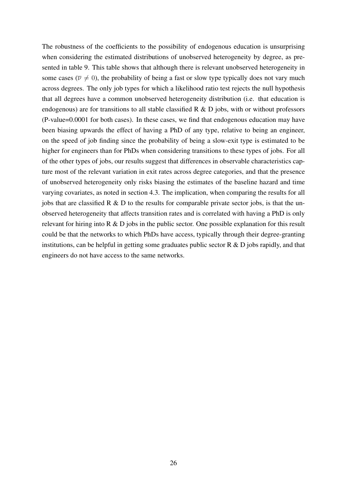The robustness of the coefficients to the possibility of endogenous education is unsurprising when considering the estimated distributions of unobserved heterogeneity by degree, as presented in table [9.](#page-29-0) This table shows that although there is relevant unobserved heterogeneity in some cases ( $\nu \neq 0$ ), the probability of being a fast or slow type typically does not vary much across degrees. The only job types for which a likelihood ratio test rejects the null hypothesis that all degrees have a common unobserved heterogeneity distribution (i.e. that education is endogenous) are for transitions to all stable classified  $R \& D$  jobs, with or without professors (P-value=0.0001 for both cases). In these cases, we find that endogenous education may have been biasing upwards the effect of having a PhD of any type, relative to being an engineer, on the speed of job finding since the probability of being a slow-exit type is estimated to be higher for engineers than for PhDs when considering transitions to these types of jobs. For all of the other types of jobs, our results suggest that differences in observable characteristics capture most of the relevant variation in exit rates across degree categories, and that the presence of unobserved heterogeneity only risks biasing the estimates of the baseline hazard and time varying covariates, as noted in section [4.3.](#page-19-0) The implication, when comparing the results for all jobs that are classified  $R \& D$  to the results for comparable private sector jobs, is that the unobserved heterogeneity that affects transition rates and is correlated with having a PhD is only relevant for hiring into R & D jobs in the public sector. One possible explanation for this result could be that the networks to which PhDs have access, typically through their degree-granting institutions, can be helpful in getting some graduates public sector  $R \& D$  jobs rapidly, and that engineers do not have access to the same networks.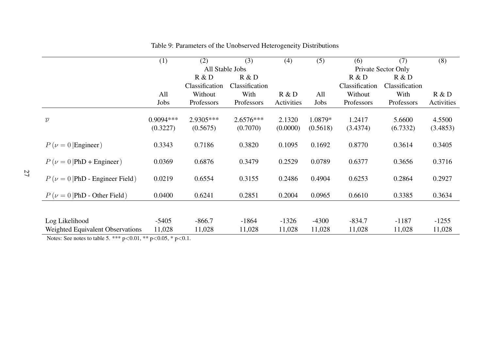|                                                | (1)         | (2)             | (3)            | (4)        | (5)      | (6)            | (7)                 | (8)        |
|------------------------------------------------|-------------|-----------------|----------------|------------|----------|----------------|---------------------|------------|
|                                                |             | All Stable Jobs |                |            |          |                | Private Sector Only |            |
|                                                |             | R & D           | R & D          |            |          | R & D          | R & D               |            |
|                                                |             | Classification  | Classification |            |          | Classification | Classification      |            |
|                                                | All         | Without         | With           | R & D      | All      | Without        | With                | R & D      |
|                                                | Jobs        | Professors      | Professors     | Activities | Jobs     | Professors     | Professors          | Activities |
|                                                |             |                 |                |            |          |                |                     |            |
| $\overline{\nu}$                               | $0.9094***$ | 2.9305***       | $2.6576***$    | 2.1320     | 1.0879*  | 1.2417         | 5.6600              | 4.5500     |
|                                                | (0.3227)    | (0.5675)        | (0.7070)       | (0.0000)   | (0.5618) | (3.4374)       | (6.7332)            | (3.4853)   |
| $P(\nu = 0)$ Engineer)                         | 0.3343      | 0.7186          | 0.3820         | 0.1095     | 0.1692   | 0.8770         | 0.3614              | 0.3405     |
| $P(\nu = 0   \text{PhD} + \text{Engineering})$ | 0.0369      | 0.6876          | 0.3479         | 0.2529     | 0.0789   | 0.6377         | 0.3656              | 0.3716     |
| $P(\nu = 0   \text{PhD - Engineering Field})$  | 0.0219      | 0.6554          | 0.3155         | 0.2486     | 0.4904   | 0.6253         | 0.2864              | 0.2927     |
| $P(\nu = 0   \text{PhD - Other Field})$        | 0.0400      | 0.6241          | 0.2851         | 0.2004     | 0.0965   | 0.6610         | 0.3385              | 0.3634     |
|                                                |             |                 |                |            |          |                |                     |            |
| Log Likelihood                                 | $-5405$     | $-866.7$        | $-1864$        | $-1326$    | $-4300$  | $-834.7$       | $-1187$             | $-1255$    |
| Weighted Equivalent Observations               | 11,028      | 11,028          | 11,028         | 11,028     | 11,028   | 11,028         | 11,028              | 11,028     |

<span id="page-29-0"></span>Table 9: Parameters of the Unobserved Heterogeneity Distributions

Notes: See notes to table [5.](#page-18-1) \*\*\* <sup>p</sup>*<sup>&</sup>lt;*0.01, \*\* p*<sup>&</sup>lt;*0.05, \* p*<*0.1.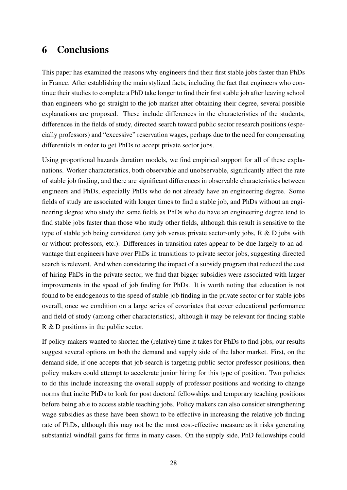### <span id="page-30-0"></span>6 Conclusions

This paper has examined the reasons why engineers find their first stable jobs faster than PhDs in France. After establishing the main stylized facts, including the fact that engineers who continue their studies to complete a PhD take longer to find their first stable job after leaving school than engineers who go straight to the job market after obtaining their degree, several possible explanations are proposed. These include differences in the characteristics of the students, differences in the fields of study, directed search toward public sector research positions (especially professors) and "excessive" reservation wages, perhaps due to the need for compensating differentials in order to get PhDs to accept private sector jobs.

Using proportional hazards duration models, we find empirical support for all of these explanations. Worker characteristics, both observable and unobservable, significantly affect the rate of stable job finding, and there are significant differences in observable characteristics between engineers and PhDs, especially PhDs who do not already have an engineering degree. Some fields of study are associated with longer times to find a stable job, and PhDs without an engineering degree who study the same fields as PhDs who do have an engineering degree tend to find stable jobs faster than those who study other fields, although this result is sensitive to the type of stable job being considered (any job versus private sector-only jobs, R & D jobs with or without professors, etc.). Differences in transition rates appear to be due largely to an advantage that engineers have over PhDs in transitions to private sector jobs, suggesting directed search is relevant. And when considering the impact of a subsidy program that reduced the cost of hiring PhDs in the private sector, we find that bigger subsidies were associated with larger improvements in the speed of job finding for PhDs. It is worth noting that education is not found to be endogenous to the speed of stable job finding in the private sector or for stable jobs overall, once we condition on a large series of covariates that cover educational performance and field of study (among other characteristics), although it may be relevant for finding stable R & D positions in the public sector.

If policy makers wanted to shorten the (relative) time it takes for PhDs to find jobs, our results suggest several options on both the demand and supply side of the labor market. First, on the demand side, if one accepts that job search is targeting public sector professor positions, then policy makers could attempt to accelerate junior hiring for this type of position. Two policies to do this include increasing the overall supply of professor positions and working to change norms that incite PhDs to look for post doctoral fellowships and temporary teaching positions before being able to access stable teaching jobs. Policy makers can also consider strengthening wage subsidies as these have been shown to be effective in increasing the relative job finding rate of PhDs, although this may not be the most cost-effective measure as it risks generating substantial windfall gains for firms in many cases. On the supply side, PhD fellowships could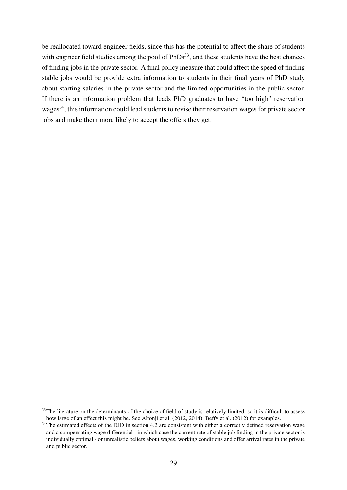be reallocated toward engineer fields, since this has the potential to affect the share of students with engineer field studies among the pool of  $PhDs<sup>33</sup>$  $PhDs<sup>33</sup>$  $PhDs<sup>33</sup>$ , and these students have the best chances of finding jobs in the private sector. A final policy measure that could affect the speed of finding stable jobs would be provide extra information to students in their final years of PhD study about starting salaries in the private sector and the limited opportunities in the public sector. If there is an information problem that leads PhD graduates to have "too high" reservation wages<sup>[34](#page--1-0)</sup>, this information could lead students to revise their reservation wages for private sector jobs and make them more likely to accept the offers they get.

 $33$ The literature on the determinants of the choice of field of study is relatively limited, so it is difficult to assess how large of an effect this might be. See [Altonji et al.](#page-32-8) [\(2012,](#page-32-8) [2014\)](#page-32-9); [Beffy et al.](#page-32-10) [\(2012\)](#page-32-10) for examples.

 $34$ The estimated effects of the DJD in section [4.2](#page-17-0) are consistent with either a correctly defined reservation wage and a compensating wage differential - in which case the current rate of stable job finding in the private sector is individually optimal - or unrealistic beliefs about wages, working conditions and offer arrival rates in the private and public sector.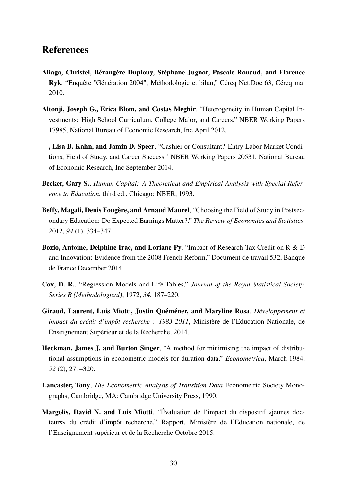### References

- <span id="page-32-2"></span>Aliaga, Christel, Bérangère Duplouy, Stéphane Jugnot, Pascale Rouaud, and Florence Ryk, "Enquête "Génération 2004"; Méthodologie et bilan," Céreq Net.Doc 63, Céreq mai 2010.
- <span id="page-32-8"></span>Altonji, Joseph G., Erica Blom, and Costas Meghir, "Heterogeneity in Human Capital Investments: High School Curriculum, College Major, and Careers," NBER Working Papers 17985, National Bureau of Economic Research, Inc April 2012.
- <span id="page-32-9"></span>, Lisa B. Kahn, and Jamin D. Speer, "Cashier or Consultant? Entry Labor Market Conditions, Field of Study, and Career Success," NBER Working Papers 20531, National Bureau of Economic Research, Inc September 2014.
- <span id="page-32-0"></span>Becker, Gary S., *Human Capital: A Theoretical and Empirical Analysis with Special Reference to Education*, third ed., Chicago: NBER, 1993.
- <span id="page-32-10"></span>Beffy, Magali, Denis Fougère, and Arnaud Maurel, "Choosing the Field of Study in Postsecondary Education: Do Expected Earnings Matter?," *The Review of Economics and Statistics*, 2012, *94* (1), 334–347.
- <span id="page-32-4"></span>Bozio, Antoine, Delphine Irac, and Loriane Py, "Impact of Research Tax Credit on R & D and Innovation: Evidence from the 2008 French Reform," Document de travail 532, Banque de France December 2014.
- <span id="page-32-6"></span>Cox, D. R., "Regression Models and Life-Tables," *Journal of the Royal Statistical Society. Series B (Methodological)*, 1972, *34*, 187–220.
- <span id="page-32-3"></span>Giraud, Laurent, Luis Miotti, Justin Quéméner, and Maryline Rosa, *Développement et impact du crédit d'impôt recherche : 1983-2011*, Ministère de l'Education Nationale, de Enseignement Supérieur et de la Recherche, 2014.
- <span id="page-32-7"></span>Heckman, James J. and Burton Singer, "A method for minimising the impact of distributional assumptions in econometric models for duration data," *Econometrica*, March 1984, *52* (2), 271–320.
- <span id="page-32-5"></span>Lancaster, Tony, *The Econometric Analysis of Transition Data* Econometric Society Monographs, Cambridge, MA: Cambridge University Press, 1990.
- <span id="page-32-1"></span>Margolis, David N. and Luis Miotti, "Évaluation de l'impact du dispositif «jeunes docteurs» du crédit d'impôt recherche," Rapport, Ministère de l'Education nationale, de l'Enseignement supérieur et de la Recherche Octobre 2015.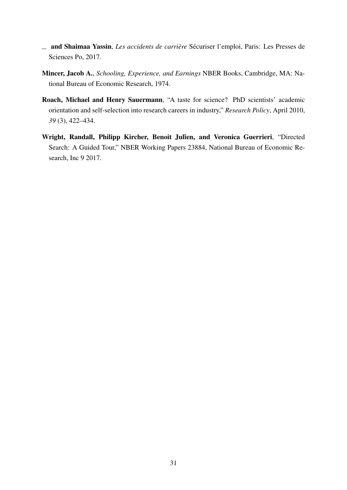- <span id="page-33-3"></span>and Shaimaa Yassin, *Les accidents de carrière* Sécuriser l'emploi, Paris: Les Presses de Sciences Po, 2017.
- <span id="page-33-0"></span>Mincer, Jacob A., *Schooling, Experience, and Earnings* NBER Books, Cambridge, MA: National Bureau of Economic Research, 1974.
- <span id="page-33-2"></span>Roach, Michael and Henry Sauermann, "A taste for science? PhD scientists' academic orientation and self-selection into research careers in industry," *Research Policy*, April 2010, *39* (3), 422–434.
- <span id="page-33-1"></span>Wright, Randall, Philipp Kircher, Benoit Julîen, and Veronica Guerrieri, "Directed Search: A Guided Tour," NBER Working Papers 23884, National Bureau of Economic Research, Inc 9 2017.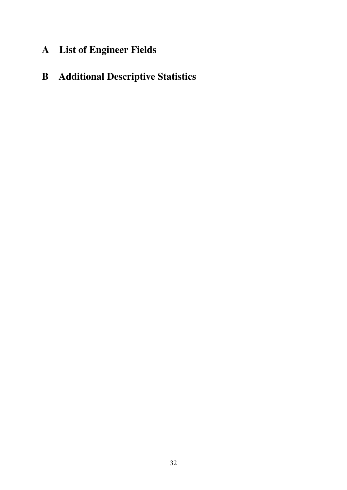# <span id="page-34-0"></span>A List of Engineer Fields

# B Additional Descriptive Statistics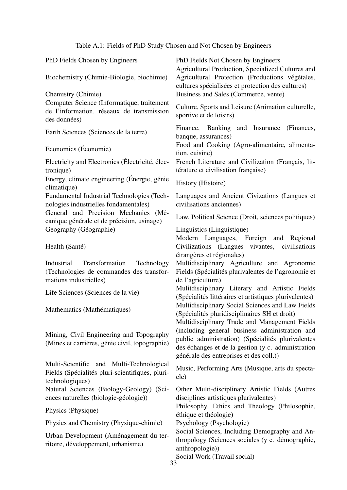| PhD Fields Chosen by Engineers                                                                                   | PhD Fields Not Chosen by Engineers                                                                                                                                                                   |
|------------------------------------------------------------------------------------------------------------------|------------------------------------------------------------------------------------------------------------------------------------------------------------------------------------------------------|
| Biochemistry (Chimie-Biologie, biochimie)<br>Chemistry (Chimie)                                                  | Agricultural Production, Specialized Cultures and<br>Agricultural Protection (Productions végétales,<br>cultures spécialisées et protection des cultures)<br>Business and Sales (Commerce, vente)    |
| Computer Science (Informatique, traitement<br>de l'information, réseaux de transmission<br>des données)          | Culture, Sports and Leisure (Animation culturelle,<br>sportive et de loisirs)                                                                                                                        |
| Earth Sciences (Sciences de la terre)                                                                            | Finance, Banking and Insurance<br>(Finances,<br>banque, assurances)                                                                                                                                  |
| Economics (Économie)                                                                                             | Food and Cooking (Agro-alimentaire, alimenta-<br>tion, cuisine)                                                                                                                                      |
| Electricity and Electronics (Électricité, élec-<br>tronique)                                                     | French Literature and Civilization (Français, lit-<br>térature et civilisation française)                                                                                                            |
| Energy, climate engineering (Énergie, génie<br>climatique)                                                       | History (Histoire)                                                                                                                                                                                   |
| Fundamental Industrial Technologies (Tech-<br>nologies industrielles fondamentales)                              | Languages and Ancient Civizations (Langues et<br>civilisations anciennes)                                                                                                                            |
| General and Precision Mechanics (Mé-<br>canique générale et de précision, usinage)                               | Law, Political Science (Droit, sciences politiques)                                                                                                                                                  |
| Geography (Géographie)                                                                                           | Linguistics (Linguistique)<br>Modern Languages, Foreign and Regional                                                                                                                                 |
| Health (Santé)                                                                                                   | Civilizations (Langues vivantes,<br>civilisations<br>étrangères et régionales)                                                                                                                       |
| Transformation<br>Technology<br>Industrial<br>(Technologies de commandes des transfor-<br>mations industrielles) | Multidisciplinary Agriculture and Agronomic<br>Fields (Spécialités plurivalentes de l'agronomie et<br>de l'agriculture)                                                                              |
| Life Sciences (Sciences de la vie)                                                                               | Mulitdisciplinary Literary and Artistic Fields<br>(Spécialités littéraires et artistiques plurivalentes)                                                                                             |
| Mathematics (Mathématiques)                                                                                      | Multidisciplinary Social Sciences and Law Fields<br>(Spécialités pluridisciplinaires SH et droit)<br>Multidisciplinary Trade and Management Fields                                                   |
| Mining, Civil Engineering and Topography<br>(Mines et carrières, génie civil, topographie)                       | (including general business administration and<br>public administration) (Spécialités plurivalentes<br>des échanges et de la gestion (y c. administration<br>générale des entreprises et des coll.)) |
| Multi-Scientific and Multi-Technological<br>Fields (Spécialités pluri-scientifiques, pluri-<br>technologiques)   | Music, Performing Arts (Musique, arts du specta-<br>cle)                                                                                                                                             |
| Natural Sciences (Biology-Geology) (Sci-<br>ences naturelles (biologie-géologie))                                | Other Multi-disciplinary Artistic Fields (Autres<br>disciplines artistiques plurivalentes)                                                                                                           |
| Physics (Physique)                                                                                               | Philosophy, Ethics and Theology (Philosophie,<br>éthique et théologie)                                                                                                                               |
| Physics and Chemistry (Physique-chimie)                                                                          | Psychology (Psychologie)                                                                                                                                                                             |
| Urban Development (Aménagement du ter-<br>ritoire, développement, urbanisme)                                     | Social Sciences, Including Demography and An-<br>thropology (Sciences sociales (y c. démographie,<br>anthropologie))<br>Social Work (Travail social)                                                 |
|                                                                                                                  | 33                                                                                                                                                                                                   |

### Table A.1: Fields of PhD Study Chosen and Not Chosen by Engineers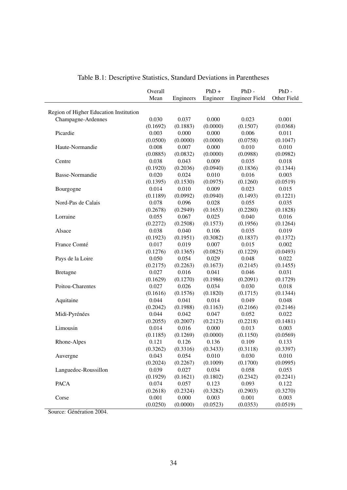<span id="page-36-0"></span>

|                                        | Overall  |                       | $PhD +$  | $PhD -$               | $PhD -$     |
|----------------------------------------|----------|-----------------------|----------|-----------------------|-------------|
|                                        | Mean     | Engineers             | Engineer | <b>Engineer Field</b> | Other Field |
|                                        |          |                       |          |                       |             |
| Region of Higher Education Institution |          |                       |          |                       |             |
| Champagne-Ardennes                     | 0.030    | 0.037                 | 0.000    | 0.023                 | 0.001       |
|                                        | (0.1692) | (0.1883)              | (0.0000) | (0.1507)              | (0.0368)    |
| Picardie                               | 0.003    | 0.000                 | 0.000    | 0.006                 | 0.011       |
|                                        | (0.0500) | (0.0000)              | (0.0000) | (0.0758)              | (0.1047)    |
| Haute-Normandie                        | 0.008    | 0.007                 | 0.000    | 0.010                 | 0.010       |
|                                        | (0.0885) | (0.0832)              | (0.0000) | (0.0988)              | (0.0982)    |
| Centre                                 | 0.038    | 0.043                 | 0.009    | 0.035                 | 0.018       |
|                                        | (0.1920) | (0.2036)              | (0.0940) | (0.1836)              | (0.1344)    |
| Basse-Normandie                        | 0.020    | 0.024                 | 0.010    | 0.016                 | 0.003       |
|                                        | (0.1395) | (0.1530)              | (0.0975) | (0.1260)              | (0.0519)    |
| Bourgogne                              | 0.014    | 0.010                 | 0.009    | 0.023                 | 0.015       |
|                                        | (0.1189) | (0.0992)              | (0.0940) | (0.1493)              | (0.1221)    |
| Nord-Pas de Calais                     | 0.078    | 0.096                 | 0.028    | 0.055                 | 0.035       |
|                                        | (0.2678) | (0.2949)              | (0.1653) | (0.2280)              | (0.1828)    |
| Lorraine                               | 0.055    | 0.067                 | 0.025    | 0.040                 | 0.016       |
|                                        | (0.2272) | (0.2508)              | (0.1573) | (0.1956)              | (0.1264)    |
| Alsace                                 | 0.038    | 0.040                 | 0.106    | 0.035                 | 0.019       |
|                                        | (0.1923) | (0.1951)              | (0.3082) | (0.1837)              | (0.1372)    |
| France Comté                           | 0.017    | 0.019                 | 0.007    | 0.015                 | 0.002       |
|                                        | (0.1276) | (0.1365)              | (0.0825) | (0.1229)              | (0.0493)    |
| Pays de la Loire                       | 0.050    | 0.054                 | 0.029    | 0.048                 | 0.022       |
|                                        | (0.2175) | (0.2263)              | (0.1673) | (0.2145)              | (0.1455)    |
| <b>Bretagne</b>                        | 0.027    | 0.016                 | 0.041    | 0.046                 | 0.031       |
|                                        | (0.1629) | (0.1270)              | (0.1986) | (0.2091)              | (0.1729)    |
| Poitou-Charentes                       | 0.027    | 0.026                 | 0.034    | 0.030                 | 0.018       |
|                                        | (0.1616) | (0.1576)              | (0.1820) | (0.1715)              | (0.1344)    |
| Aquitaine                              | 0.044    | 0.041                 | 0.014    | 0.049                 | 0.048       |
|                                        | (0.2042) | (0.1988)              | (0.1163) | (0.2166)              | (0.2146)    |
| Midi-Pyrénées                          | 0.044    | 0.042                 | 0.047    | 0.052                 | 0.022       |
|                                        | (0.2055) | (0.2007)              | (0.2123) | (0.2218)              | (0.1481)    |
| Limousin                               | 0.014    | 0.016                 | 0.000    | 0.013                 | 0.003       |
|                                        | (0.1185) | (0.1269)              | (0.0000) | (0.1150)              | (0.0569)    |
| Rhone-Alpes                            | 0.121    | 0.126                 | 0.136    | 0.109                 | 0.133       |
|                                        |          | $(0.3262)$ $(0.3316)$ | (0.3433) | (0.3118)              | (0.3397)    |
| Auvergne                               | 0.043    | 0.054                 | 0.010    | 0.030                 | 0.010       |
|                                        | (0.2024) | (0.2267)              | (0.1009) | (0.1700)              | (0.0995)    |
| Languedoc-Roussillon                   | 0.039    | 0.027                 | 0.034    | 0.058                 | 0.053       |
|                                        | (0.1929) | (0.1621)              | (0.1802) | (0.2342)              | (0.2241)    |
| <b>PACA</b>                            | 0.074    | 0.057                 | 0.123    | 0.093                 | 0.122       |
|                                        | (0.2618) | (0.2324)              | (0.3282) | (0.2903)              | (0.3270)    |
| Corse                                  | 0.001    | 0.000                 | 0.003    | 0.001                 | 0.003       |
|                                        | (0.0250) | (0.0000)              | (0.0523) | (0.0353)              | (0.0519)    |
|                                        |          |                       |          |                       |             |

| Table B.1: Descriptive Statistics, Standard Deviations in Parentheses |  |  |  |
|-----------------------------------------------------------------------|--|--|--|
|-----------------------------------------------------------------------|--|--|--|

Source: Génération 2004.